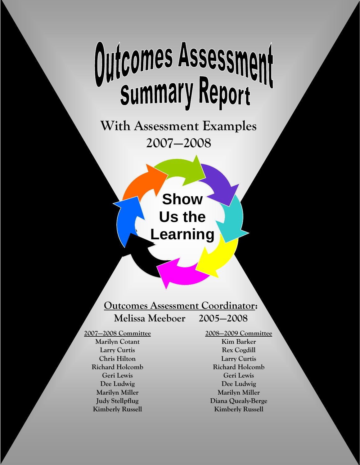# Outcomes Assessment

**With Assessment Examples 2007—2008** 

> **Show Us the Learning**

**Outcomes Assessment Coordinator: Melissa Meeboer 2005—2008** 

**2007—2008 Committee Marilyn Cotant Larry Curtis Chris Hilton Richard Holcomb Geri Lewis Dee Ludwig Marilyn Miller Judy Stellpflug Kimberly Russell** 

**2008—2009 Committee Kim Barker Rex Cogdill Larry Curtis Richard Holcomb Geri Lewis Dee Ludwig Marilyn Miller Diana Quealy-Berge Kimberly Russell**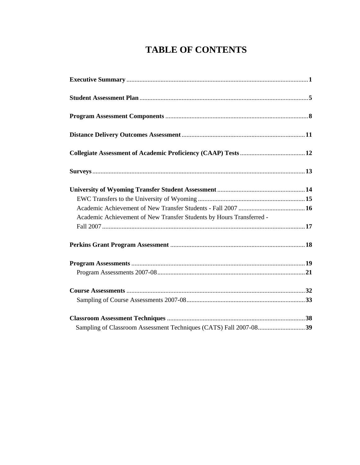# **TABLE OF CONTENTS**

| Academic Achievement of New Transfer Students by Hours Transferred - |  |
|----------------------------------------------------------------------|--|
|                                                                      |  |
|                                                                      |  |
|                                                                      |  |
|                                                                      |  |
|                                                                      |  |
|                                                                      |  |
|                                                                      |  |
|                                                                      |  |
|                                                                      |  |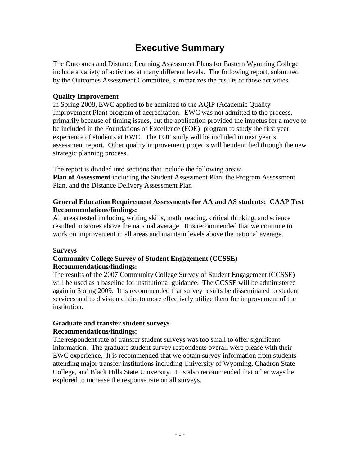## **Executive Summary**

The Outcomes and Distance Learning Assessment Plans for Eastern Wyoming College include a variety of activities at many different levels. The following report, submitted by the Outcomes Assessment Committee, summarizes the results of those activities.

## **Quality Improvement**

In Spring 2008, EWC applied to be admitted to the AQIP (Academic Quality Improvement Plan) program of accreditation. EWC was not admitted to the process, primarily because of timing issues, but the application provided the impetus for a move to be included in the Foundations of Excellence (FOE) program to study the first year experience of students at EWC. The FOE study will be included in next year's assessment report. Other quality improvement projects will be identified through the new strategic planning process.

The report is divided into sections that include the following areas: **Plan of Assessment** including the Student Assessment Plan, the Program Assessment Plan, and the Distance Delivery Assessment Plan

## **General Education Requirement Assessments for AA and AS students: CAAP Test Recommendations/findings:**

All areas tested including writing skills, math, reading, critical thinking, and science resulted in scores above the national average. It is recommended that we continue to work on improvement in all areas and maintain levels above the national average.

## **Surveys**

## **Community College Survey of Student Engagement (CCSSE) Recommendations/findings:**

The results of the 2007 Community College Survey of Student Engagement (CCSSE) will be used as a baseline for institutional guidance. The CCSSE will be administered again in Spring 2009. It is recommended that survey results be disseminated to student services and to division chairs to more effectively utilize them for improvement of the institution.

## **Graduate and transfer student surveys Recommendations/findings:**

The respondent rate of transfer student surveys was too small to offer significant information. The graduate student survey respondents overall were please with their EWC experience. It is recommended that we obtain survey information from students attending major transfer institutions including University of Wyoming, Chadron State College, and Black Hills State University. It is also recommended that other ways be explored to increase the response rate on all surveys.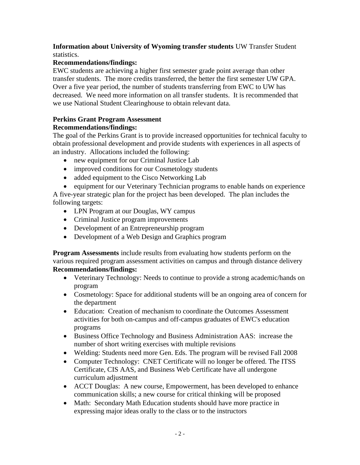## **Information about University of Wyoming transfer students** UW Transfer Student statistics.

## **Recommendations/findings:**

EWC students are achieving a higher first semester grade point average than other transfer students. The more credits transferred, the better the first semester UW GPA. Over a five year period, the number of students transferring from EWC to UW has decreased. We need more information on all transfer students. It is recommended that we use National Student Clearinghouse to obtain relevant data.

## **Perkins Grant Program Assessment**

## **Recommendations/findings:**

The goal of the Perkins Grant is to provide increased opportunities for technical faculty to obtain professional development and provide students with experiences in all aspects of an industry. Allocations included the following:

- new equipment for our Criminal Justice Lab
- improved conditions for our Cosmetology students
- added equipment to the Cisco Networking Lab
- equipment for our Veterinary Technician programs to enable hands on experience

A five-year strategic plan for the project has been developed. The plan includes the following targets:

- LPN Program at our Douglas, WY campus
- Criminal Justice program improvements
- Development of an Entrepreneurship program
- Development of a Web Design and Graphics program

**Program Assessments** include results from evaluating how students perform on the various required program assessment activities on campus and through distance delivery **Recommendations/findings:** 

- Veterinary Technology: Needs to continue to provide a strong academic/hands on program
- Cosmetology: Space for additional students will be an ongoing area of concern for the department
- Education: Creation of mechanism to coordinate the Outcomes Assessment activities for both on-campus and off-campus graduates of EWC's education programs
- Business Office Technology and Business Administration AAS: increase the number of short writing exercises with multiple revisions
- Welding: Students need more Gen. Eds. The program will be revised Fall 2008
- Computer Technology: CNET Certificate will no longer be offered. The ITSS Certificate, CIS AAS, and Business Web Certificate have all undergone curriculum adjustment
- ACCT Douglas: A new course, Empowerment, has been developed to enhance communication skills; a new course for critical thinking will be proposed
- Math: Secondary Math Education students should have more practice in expressing major ideas orally to the class or to the instructors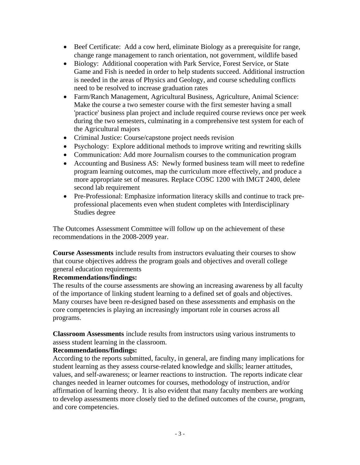- Beef Certificate: Add a cow herd, eliminate Biology as a prerequisite for range, change range management to ranch orientation, not government, wildlife based
- Biology: Additional cooperation with Park Service, Forest Service, or State Game and Fish is needed in order to help students succeed. Additional instruction is needed in the areas of Physics and Geology, and course scheduling conflicts need to be resolved to increase graduation rates
- Farm/Ranch Management, Agricultural Business, Agriculture, Animal Science: Make the course a two semester course with the first semester having a small 'practice' business plan project and include required course reviews once per week during the two semesters, culminating in a comprehensive test system for each of the Agricultural majors
- Criminal Justice: Course/capstone project needs revision
- Psychology: Explore additional methods to improve writing and rewriting skills
- Communication: Add more Journalism courses to the communication program
- Accounting and Business AS: Newly formed business team will meet to redefine program learning outcomes, map the curriculum more effectively, and produce a more appropriate set of measures. Replace COSC 1200 with IMGT 2400, delete second lab requirement
- Pre-Professional: Emphasize information literacy skills and continue to track preprofessional placements even when student completes with Interdisciplinary Studies degree

The Outcomes Assessment Committee will follow up on the achievement of these recommendations in the 2008-2009 year.

**Course Assessments** include results from instructors evaluating their courses to show that course objectives address the program goals and objectives and overall college general education requirements

## **Recommendations/findings:**

The results of the course assessments are showing an increasing awareness by all faculty of the importance of linking student learning to a defined set of goals and objectives. Many courses have been re-designed based on these assessments and emphasis on the core competencies is playing an increasingly important role in courses across all programs.

**Classroom Assessments** include results from instructors using various instruments to assess student learning in the classroom.

## **Recommendations/findings:**

According to the reports submitted, faculty, in general, are finding many implications for student learning as they assess course-related knowledge and skills; learner attitudes, values, and self-awareness; or learner reactions to instruction. The reports indicate clear changes needed in learner outcomes for courses, methodology of instruction, and/or affirmation of learning theory. It is also evident that many faculty members are working to develop assessments more closely tied to the defined outcomes of the course, program, and core competencies.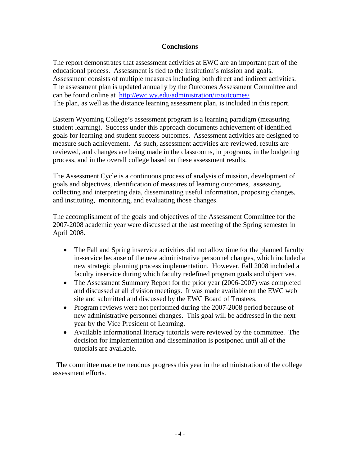#### **Conclusions**

The report demonstrates that assessment activities at EWC are an important part of the educational process. Assessment is tied to the institution's mission and goals. Assessment consists of multiple measures including both direct and indirect activities. The assessment plan is updated annually by the Outcomes Assessment Committee and can be found online at http://ewc.wy.edu/administration/ir/outcomes/ The plan, as well as the distance learning assessment plan, is included in this report.

Eastern Wyoming College's assessment program is a learning paradigm (measuring student learning). Success under this approach documents achievement of identified goals for learning and student success outcomes. Assessment activities are designed to measure such achievement. As such, assessment activities are reviewed, results are reviewed, and changes are being made in the classrooms, in programs, in the budgeting process, and in the overall college based on these assessment results.

The Assessment Cycle is a continuous process of analysis of mission, development of goals and objectives, identification of measures of learning outcomes, assessing, collecting and interpreting data, disseminating useful information, proposing changes, and instituting, monitoring, and evaluating those changes.

The accomplishment of the goals and objectives of the Assessment Committee for the 2007-2008 academic year were discussed at the last meeting of the Spring semester in April 2008.

- The Fall and Spring inservice activities did not allow time for the planned faculty in-service because of the new administrative personnel changes, which included a new strategic planning process implementation. However, Fall 2008 included a faculty inservice during which faculty redefined program goals and objectives.
- The Assessment Summary Report for the prior year (2006-2007) was completed and discussed at all division meetings. It was made available on the EWC web site and submitted and discussed by the EWC Board of Trustees.
- Program reviews were not performed during the 2007-2008 period because of new administrative personnel changes. This goal will be addressed in the next year by the Vice President of Learning.
- Available informational literacy tutorials were reviewed by the committee. The decision for implementation and dissemination is postponed until all of the tutorials are available.

 The committee made tremendous progress this year in the administration of the college assessment efforts.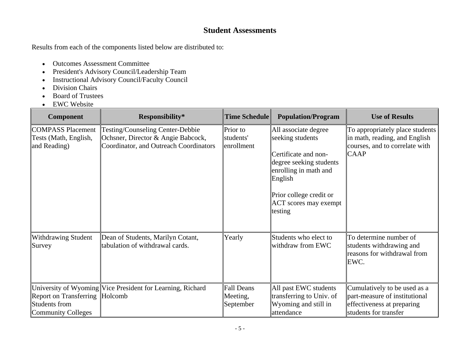## **Student Assessments**

Results from each of the components listed below are distributed to:

- Outcomes Assessment Committee
- President's Advisory Council/Leadership Team
- Instructional Advisory Council/Faculty Council
- Division Chairs
- Board of Trustees
- EWC Website

| Component                                                                           | Responsibility*                                                                                                  | <b>Time Schedule</b>                | <b>Population/Program</b>                                                                                                                                                                                | <b>Use of Results</b>                                                                                                |
|-------------------------------------------------------------------------------------|------------------------------------------------------------------------------------------------------------------|-------------------------------------|----------------------------------------------------------------------------------------------------------------------------------------------------------------------------------------------------------|----------------------------------------------------------------------------------------------------------------------|
| <b>COMPASS Placement</b><br>Tests (Math, English,<br>and Reading)                   | Testing/Counseling Center-Debbie<br>Ochsner, Director & Angie Babcock,<br>Coordinator, and Outreach Coordinators | Prior to<br>students'<br>enrollment | All associate degree<br>seeking students<br>Certificate and non-<br>degree seeking students<br>enrolling in math and<br>English<br><b>Prior college credit or</b><br>$ ACT$ scores may exempt<br>testing | To appropriately place students<br>in math, reading, and English<br>courses, and to correlate with<br><b>CAAP</b>    |
| <b>Withdrawing Student</b><br>Survey                                                | Dean of Students, Marilyn Cotant,<br>tabulation of withdrawal cards.                                             | Yearly                              | Students who elect to<br>withdraw from EWC                                                                                                                                                               | To determine number of<br>students withdrawing and<br>reasons for withdrawal from<br>EWC.                            |
| Report on Transferring Holcomb<br><b>Students from</b><br><b>Community Colleges</b> | University of Wyoming Vice President for Learning, Richard                                                       | Fall Deans<br>Meeting,<br>September | All past EWC students<br>transferring to Univ. of<br>Wyoming and still in<br>attendance                                                                                                                  | Cumulatively to be used as a<br>part-measure of institutional<br>effectiveness at preparing<br>students for transfer |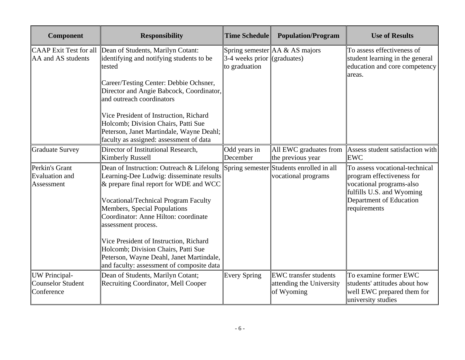| Component                                               | <b>Responsibility</b>                                                                                                                                                                                                                                                                                                                                                                                                                                     | <b>Time Schedule</b>                                | <b>Population/Program</b>                                              | <b>Use of Results</b>                                                                                                                                           |
|---------------------------------------------------------|-----------------------------------------------------------------------------------------------------------------------------------------------------------------------------------------------------------------------------------------------------------------------------------------------------------------------------------------------------------------------------------------------------------------------------------------------------------|-----------------------------------------------------|------------------------------------------------------------------------|-----------------------------------------------------------------------------------------------------------------------------------------------------------------|
| <b>CAAP</b> Exit Test for all<br>AA and AS students     | Dean of Students, Marilyn Cotant:<br>identifying and notifying students to be<br>tested<br>Career/Testing Center: Debbie Ochsner,<br>Director and Angie Babcock, Coordinator,<br>and outreach coordinators<br>Vice President of Instruction, Richard<br>Holcomb; Division Chairs, Patti Sue<br>Peterson, Janet Martindale, Wayne Deahl;<br>faculty as assigned: assessment of data                                                                        | $\beta$ -4 weeks prior (graduates)<br>to graduation | Spring semester $AA \& AS$ majors                                      | To assess effectiveness of<br>student learning in the general<br>education and core competency<br>areas.                                                        |
| <b>Graduate Survey</b>                                  | Director of Institutional Research,<br><b>Kimberly Russell</b>                                                                                                                                                                                                                                                                                                                                                                                            | Odd years in<br>December                            | the previous year                                                      | All EWC graduates from $\parallel$ Assess student satisfaction with<br><b>EWC</b>                                                                               |
| Perkin's Grant<br><b>Evaluation</b> and<br>Assessment   | Dean of Instruction: Outreach & Lifelong<br>Learning-Dee Ludwig: disseminate results<br>$\&$ prepare final report for WDE and WCC<br><b>Vocational/Technical Program Faculty</b><br>Members, Special Populations<br>Coordinator: Anne Hilton: coordinate<br>assessment process.<br>Vice President of Instruction, Richard<br>Holcomb; Division Chairs, Patti Sue<br>Peterson, Wayne Deahl, Janet Martindale,<br>and faculty: assessment of composite data |                                                     | Spring semester Students enrolled in all<br>vocational programs        | To assess vocational-technical<br>program effectiveness for<br>vocational programs-also<br>fulfills U.S. and Wyoming<br>Department of Education<br>requirements |
| UW Principal-<br><b>Counselor Student</b><br>Conference | Dean of Students, Marilyn Cotant;<br>Recruiting Coordinator, Mell Cooper                                                                                                                                                                                                                                                                                                                                                                                  | Every Spring                                        | <b>EWC</b> transfer students<br>attending the University<br>of Wyoming | To examine former EWC<br>students' attitudes about how<br>well EWC prepared them for<br>university studies                                                      |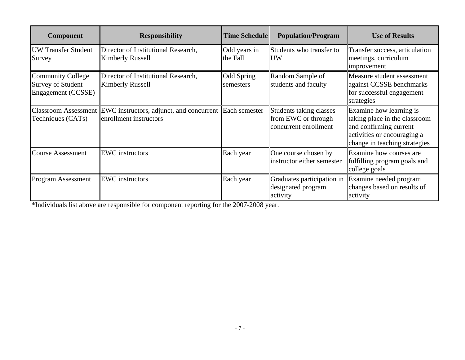| Component                                                                  | <b>Responsibility</b>                                                            | Time Schedule                  | <b>Population/Program</b>                                               | <b>Use of Results</b>                                                                                                                              |
|----------------------------------------------------------------------------|----------------------------------------------------------------------------------|--------------------------------|-------------------------------------------------------------------------|----------------------------------------------------------------------------------------------------------------------------------------------------|
| <b>UW Transfer Student</b><br>Survey                                       | Director of Institutional Research,<br><b>Kimberly Russell</b>                   | Odd years in<br>the Fall       | Students who transfer to<br><b>UW</b>                                   | Transfer success, articulation<br>meetings, curriculum<br>improvement                                                                              |
| <b>Community College</b><br><b>Survey of Student</b><br>Engagement (CCSSE) | Director of Institutional Research,<br>Kimberly Russell                          | <b>Odd Spring</b><br>semesters | Random Sample of<br>students and faculty                                | Measure student assessment<br>against CCSSE benchmarks<br>for successful engagement<br>strategies                                                  |
| <b>Classroom Assessment</b><br>Techniques (CATs)                           | EWC instructors, adjunct, and concurrent Each semester<br>enrollment instructors |                                | Students taking classes<br>from EWC or through<br>concurrent enrollment | Examine how learning is<br>taking place in the classroom<br>and confirming current<br>activities or encouraging a<br>change in teaching strategies |
| <b>Course Assessment</b>                                                   | <b>EWC</b> instructors                                                           | Each year                      | One course chosen by<br>instructor either semester                      | Examine how courses are<br>fulfilling program goals and<br>college goals                                                                           |
| <b>Program Assessment</b>                                                  | <b>EWC</b> instructors                                                           | Each year                      | Graduates participation in<br>designated program<br>activity            | Examine needed program<br>changes based on results of<br>activity                                                                                  |

\*Individuals list above are responsible for component reporting for the 2007-2008 year.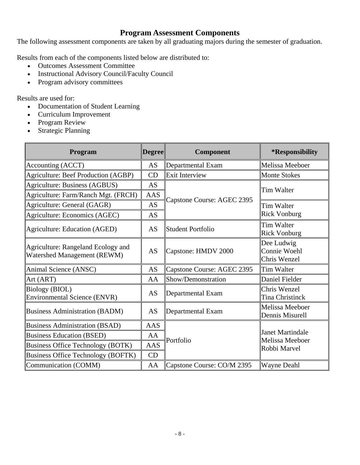## **Program Assessment Components**

The following assessment components are taken by all graduating majors during the semester of graduation.

Results from each of the components listed below are distributed to:

- Outcomes Assessment Committee
- Instructional Advisory Council/Faculty Council
- Program advisory committees

Results are used for:

- Documentation of Student Learning
- Curriculum Improvement
- Program Review
- Strategic Planning

| Program                                                                  | <b>Degree</b> | Component                  | *Responsibility                            |
|--------------------------------------------------------------------------|---------------|----------------------------|--------------------------------------------|
| Accounting (ACCT)                                                        | AS            | Departmental Exam          | Melissa Meeboer                            |
| <b>Agriculture: Beef Production (AGBP)</b>                               | CD            | <b>Exit Interview</b>      | <b>Monte Stokes</b>                        |
| Agriculture: Business (AGBUS)                                            | <b>AS</b>     |                            | Tim Walter                                 |
| Agriculture: Farm/Ranch Mgt. (FRCH)                                      | <b>AAS</b>    |                            |                                            |
| Agriculture: General (GAGR)                                              | <b>AS</b>     | Capstone Course: AGEC 2395 | <b>Tim Walter</b>                          |
| Agriculture: Economics (AGEC)                                            | AS            |                            | <b>Rick Vonburg</b>                        |
| Agriculture: Education (AGED)                                            | <b>AS</b>     | Student Portfolio          | <b>Tim Walter</b><br><b>Rick Vonburg</b>   |
| Agriculture: Rangeland Ecology and<br><b>Watershed Management (REWM)</b> | <b>AS</b>     | Capstone: HMDV 2000        | Dee Ludwig<br>Connie Woehl<br>Chris Wenzel |
| Animal Science (ANSC)                                                    | <b>AS</b>     | Capstone Course: AGEC 2395 | Tim Walter                                 |
| Art (ART)                                                                | AA            | Show/Demonstration         | Daniel Fielder                             |
| <b>Biology (BIOL)</b><br><b>Environmental Science (ENVR)</b>             | AS            | Departmental Exam          | Chris Wenzel<br><b>Tina Christinck</b>     |
| <b>Business Administration (BADM)</b>                                    | AS            | Departmental Exam          | Melissa Meeboer<br>Dennis Misurell         |
| <b>Business Administration (BSAD)</b>                                    | AAS           |                            |                                            |
| <b>Business Education (BSED)</b>                                         | AA            | Portfolio                  | <b>Janet Martindale</b><br>Melissa Meeboer |
| <b>Business Office Technology (BOTK)</b>                                 | <b>AAS</b>    |                            | Robbi Marvel                               |
| <b>Business Office Technology (BOFTK)</b>                                | CD            |                            |                                            |
| Communication (COMM)                                                     | AA            | Capstone Course: CO/M 2395 | <b>Wayne Deahl</b>                         |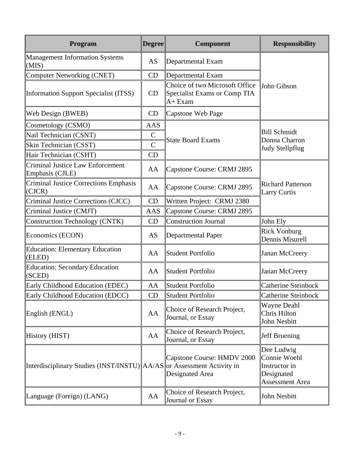| <b>Program</b>                                             | <b>Degree</b>  | Component                                                                          | <b>Responsibility</b>                                                               |  |  |
|------------------------------------------------------------|----------------|------------------------------------------------------------------------------------|-------------------------------------------------------------------------------------|--|--|
| <b>Management Information Systems</b><br>(MIS)             | AS             | Departmental Exam                                                                  |                                                                                     |  |  |
| <b>Computer Networking (CNET)</b>                          | CD             | Departmental Exam                                                                  |                                                                                     |  |  |
| <b>Information Support Specialist (ITSS)</b>               | CD             | Choice of two Microsoft Office<br>Specialist Exams or Comp TIA<br>A+ Exam          | John Gibson                                                                         |  |  |
| Web Design (BWEB)                                          | CD             | Capstone Web Page                                                                  |                                                                                     |  |  |
| Cosmetology (CSMO)                                         | AAS            |                                                                                    |                                                                                     |  |  |
| Nail Technician (CSNT)                                     | $\mathsf{C}$   |                                                                                    | <b>Bill Schmidt</b>                                                                 |  |  |
| Skin Technician (CSST)                                     | $\overline{C}$ | <b>State Board Exams</b>                                                           | Donna Charron<br>Judy Stellpflug                                                    |  |  |
| Hair Technician (CSHT)                                     | CD             |                                                                                    |                                                                                     |  |  |
| <b>Criminal Justice Law Enforcement</b><br>Emphasis (CJLE) | AA             | Capstone Course: CRMJ 2895                                                         |                                                                                     |  |  |
| <b>Criminal Justice Corrections Emphasis</b><br>(CJCR)     | AA             | Capstone Course: CRMJ 2895                                                         | <b>Richard Patterson</b><br><b>Larry Curtis</b>                                     |  |  |
| Criminal Justice Corrections (CJCC)                        | CD             | Written Project: CRMJ 2380                                                         |                                                                                     |  |  |
| Criminal Justice (CMJT)                                    | AAS            | Capstone Course: CRMJ 2895                                                         |                                                                                     |  |  |
| <b>Construction Technology (CNTK)</b>                      | CD             | Construction Journal                                                               | John Ely                                                                            |  |  |
| Economics (ECON)                                           | AS             | Departmental Paper                                                                 | <b>Rick Vonburg</b><br>Dennis Misurell                                              |  |  |
| <b>Education: Elementary Education</b><br>(ELED)           | AA             | <b>Student Portfolio</b>                                                           | Janan McCreery                                                                      |  |  |
| <b>Education: Secondary Education</b><br>(SCED)            | AA             | <b>Student Portfolio</b>                                                           | Janan McCreery                                                                      |  |  |
| Early Childhood Education (EDEC)                           | AA             | <b>Student Portfolio</b>                                                           | <b>Catherine Steinbock</b>                                                          |  |  |
| Early Childhood Education (EDCC)                           | CD             | Student Portfolio                                                                  | Catherine Steinbock                                                                 |  |  |
| English (ENGL)                                             | AA             | Choice of Research Project,<br>Journal, or Essay                                   | Wayne Deahl<br>Chris Hilton<br>John Nesbitt                                         |  |  |
| History (HIST)                                             | AA             | Choice of Research Project,<br>Journal, or Essay                                   | Jeff Bruening                                                                       |  |  |
| Interdisciplinary Studies (INST/INSTU)                     |                | Capstone Course: HMDV 2000<br>$AA/AS$ or Assessment Activity in<br>Designated Area | Dee Ludwig<br>Connie Woehl<br>Instructor in<br>Designated<br><b>Assessment Area</b> |  |  |
| Language (Foreign) (LANG)                                  | AA             | Choice of Research Project,<br>Journal or Essay                                    | John Nesbitt                                                                        |  |  |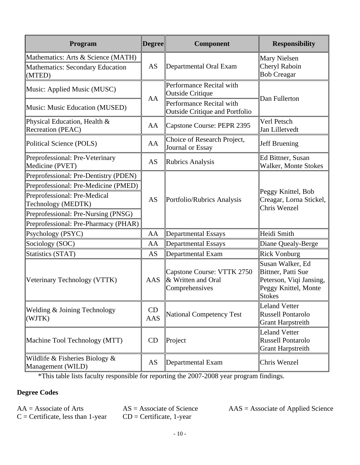| Program                                                                                                                                                                                                            | <b>Degree</b> | <b>Component</b>                                                   | <b>Responsibility</b>                                                                                      |
|--------------------------------------------------------------------------------------------------------------------------------------------------------------------------------------------------------------------|---------------|--------------------------------------------------------------------|------------------------------------------------------------------------------------------------------------|
| Mathematics: Arts & Science (MATH)<br><b>Mathematics: Secondary Education</b><br>(MTED)                                                                                                                            | AS            | Departmental Oral Exam                                             | Mary Nielsen<br>Cheryl Raboin<br><b>Bob Creagar</b>                                                        |
| Music: Applied Music (MUSC)                                                                                                                                                                                        | AA            | Performance Recital with<br>Outside Critique                       | Dan Fullerton                                                                                              |
| Music: Music Education (MUSED)                                                                                                                                                                                     |               | Performance Recital with<br><b>Outside Critique and Portfolio</b>  |                                                                                                            |
| Physical Education, Health &<br>Recreation (PEAC)                                                                                                                                                                  | AA            | Capstone Course: PEPR 2395                                         | Verl Petsch<br>Jan Lilletvedt                                                                              |
| Political Science (POLS)                                                                                                                                                                                           | AA            | Choice of Research Project,<br>Journal or Essay                    | Jeff Bruening                                                                                              |
| Preprofessional: Pre-Veterinary<br>Medicine (PVET)                                                                                                                                                                 | AS            | <b>Rubrics Analysis</b>                                            | Ed Bittner, Susan<br>Walker, Monte Stokes                                                                  |
| Preprofessional: Pre-Dentistry (PDEN)<br>Preprofessional: Pre-Medicine (PMED)<br>Preprofessional: Pre-Medical<br>Technology (MEDTK)<br>Preprofessional: Pre-Nursing (PNSG)<br>Preprofessional: Pre-Pharmacy (PHAR) | AS            | Portfolio/Rubrics Analysis                                         | Peggy Knittel, Bob<br>Creagar, Lorna Stickel,<br>Chris Wenzel                                              |
| Psychology (PSYC)                                                                                                                                                                                                  | AA            | Departmental Essays                                                | Heidi Smith                                                                                                |
| Sociology (SOC)                                                                                                                                                                                                    | AA            | Departmental Essays                                                | Diane Quealy-Berge                                                                                         |
| <b>Statistics (STAT)</b>                                                                                                                                                                                           | AS            | Departmental Exam                                                  | <b>Rick Vonburg</b>                                                                                        |
| Veterinary Technology (VTTK)                                                                                                                                                                                       | AAS           | Capstone Course: VTTK 2750<br>& Written and Oral<br>Comprehensives | Susan Walker, Ed<br>Bittner, Patti Sue<br>Peterson, Viqi Jansing,<br>Peggy Knittel, Monte<br><b>Stokes</b> |
| Welding & Joining Technology<br>(WJTK)                                                                                                                                                                             | CD<br>AAS     | <b>National Competency Test</b>                                    | <b>Leland Vetter</b><br><b>Russell Pontarolo</b><br><b>Grant Harpstreith</b>                               |
| Machine Tool Technology (MTT)                                                                                                                                                                                      | CD            | Project                                                            | <b>Leland Vetter</b><br><b>Russell Pontarolo</b><br><b>Grant Harpstreith</b>                               |
| Wildlife & Fisheries Biology $\&$<br>Management (WILD)                                                                                                                                                             | AS            | Departmental Exam                                                  | Chris Wenzel                                                                                               |

\*This table lists faculty responsible for reporting the 2007-2008 year program findings.

## **Degree Codes**

 $C =$  Certificate, less than 1-year  $CD =$  Certificate, 1-year

 $AA =$  Associate of Arts  $AS =$  Associate of Science  $AAS =$  Associate of Applied Science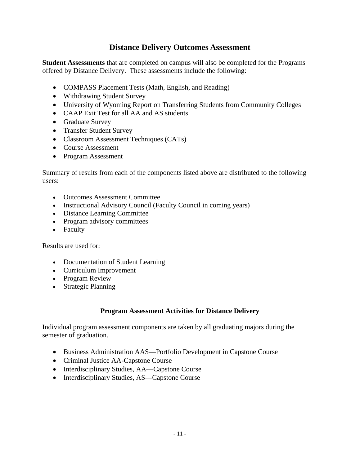## **Distance Delivery Outcomes Assessment**

**Student Assessments** that are completed on campus will also be completed for the Programs offered by Distance Delivery. These assessments include the following:

- COMPASS Placement Tests (Math, English, and Reading)
- Withdrawing Student Survey
- University of Wyoming Report on Transferring Students from Community Colleges
- CAAP Exit Test for all AA and AS students
- Graduate Survey
- Transfer Student Survey
- Classroom Assessment Techniques (CATs)
- Course Assessment
- Program Assessment

Summary of results from each of the components listed above are distributed to the following users:

- Outcomes Assessment Committee
- Instructional Advisory Council (Faculty Council in coming years)
- Distance Learning Committee
- Program advisory committees
- Faculty

Results are used for:

- Documentation of Student Learning
- Curriculum Improvement
- Program Review
- Strategic Planning

## **Program Assessment Activities for Distance Delivery**

Individual program assessment components are taken by all graduating majors during the semester of graduation.

- Business Administration AAS—Portfolio Development in Capstone Course
- Criminal Justice AA-Capstone Course
- Interdisciplinary Studies, AA—Capstone Course
- Interdisciplinary Studies, AS—Capstone Course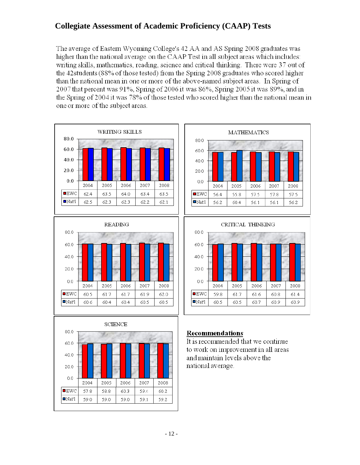## **Collegiate Assessment of Academic Proficiency (CAAP) Tests**

The average of Eastern Wyoming College's 42 AA and AS Spring 2008 graduates was higher than the national average on the CAAP Test in all subject areas which includes: writing skills, mathematics, reading, science and critical thinking. There were 37 out of the 42 students (88% of those tested) from the Spring 2008 graduates who scored higher than the national mean in one or more of the above-named subject areas. In Spring of 2007 that percent was 91%, Spring of 2006 it was 86%, Spring 2005 it was 89%, and in the Spring of 2004 it was 78% of those tested who scored higher than the national mean in one or more of the subject areas.











## Recommendations

It is recommended that we continue to work on improvement in all areas and maintain levels above the national average.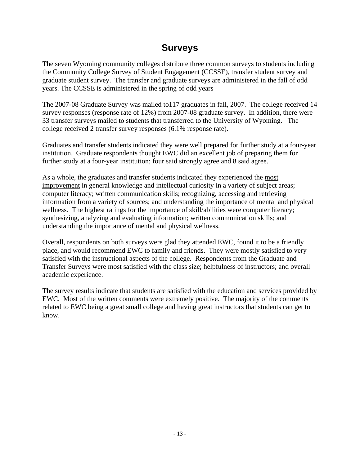## **Surveys**

The seven Wyoming community colleges distribute three common surveys to students including the Community College Survey of Student Engagement (CCSSE), transfer student survey and graduate student survey. The transfer and graduate surveys are administered in the fall of odd years. The CCSSE is administered in the spring of odd years

The 2007-08 Graduate Survey was mailed to117 graduates in fall, 2007. The college received 14 survey responses (response rate of 12%) from 2007-08 graduate survey. In addition, there were 33 transfer surveys mailed to students that transferred to the University of Wyoming. The college received 2 transfer survey responses (6.1% response rate).

Graduates and transfer students indicated they were well prepared for further study at a four-year institution. Graduate respondents thought EWC did an excellent job of preparing them for further study at a four-year institution; four said strongly agree and 8 said agree.

As a whole, the graduates and transfer students indicated they experienced the most improvement in general knowledge and intellectual curiosity in a variety of subject areas; computer literacy; written communication skills; recognizing, accessing and retrieving information from a variety of sources; and understanding the importance of mental and physical wellness. The highest ratings for the importance of skill/abilities were computer literacy; synthesizing, analyzing and evaluating information; written communication skills; and understanding the importance of mental and physical wellness.

Overall, respondents on both surveys were glad they attended EWC, found it to be a friendly place, and would recommend EWC to family and friends. They were mostly satisfied to very satisfied with the instructional aspects of the college. Respondents from the Graduate and Transfer Surveys were most satisfied with the class size; helpfulness of instructors; and overall academic experience.

The survey results indicate that students are satisfied with the education and services provided by EWC. Most of the written comments were extremely positive. The majority of the comments related to EWC being a great small college and having great instructors that students can get to know.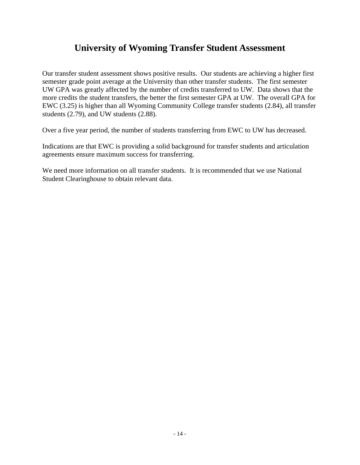## **University of Wyoming Transfer Student Assessment**

Our transfer student assessment shows positive results. Our students are achieving a higher first semester grade point average at the University than other transfer students. The first semester UW GPA was greatly affected by the number of credits transferred to UW. Data shows that the more credits the student transfers, the better the first semester GPA at UW. The overall GPA for EWC (3.25) is higher than all Wyoming Community College transfer students (2.84), all transfer students (2.79), and UW students (2.88).

Over a five year period, the number of students transferring from EWC to UW has decreased.

Indications are that EWC is providing a solid background for transfer students and articulation agreements ensure maximum success for transferring.

We need more information on all transfer students. It is recommended that we use National Student Clearinghouse to obtain relevant data.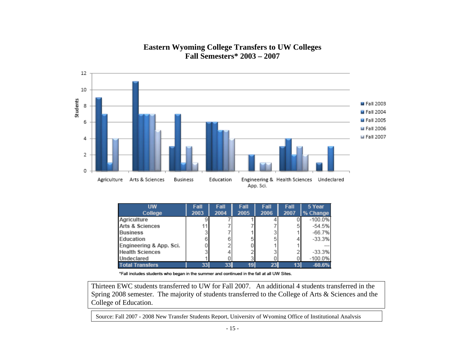## **Eastern Wyoming College Transfers to UW Colleges Fall Semesters\* 2003 – 2007**



| <b>UW</b>                  | Fall | Fall | Fall | Fall | Fall | 5 Year    |
|----------------------------|------|------|------|------|------|-----------|
| College                    | 2003 | 2004 | 2005 | 2006 | 2007 | % Change  |
| Agriculture                |      |      |      |      |      | $-100.0%$ |
| <b>Arts &amp; Sciences</b> |      |      |      |      |      | $-54.5%$  |
| <b>Business</b>            |      |      |      |      |      | $-66.7%$  |
| <b>Education</b>           |      |      |      |      |      | $-33.3%$  |
| Engineering & App. Sci.    |      |      |      |      |      | ---       |
| <b>Health Sciences</b>     |      |      |      |      |      | $-33.3%$  |
| Undeclared                 |      |      |      |      |      | $-100.0%$ |
| <b>Total Transfers</b>     | 33   | 33   |      | 23   |      | $-60.6%$  |

\*Fall includes students who began in the summer and continued in the fall at all UW Sites.

Thirteen EWC students transferred to UW for Fall 2007. An additional 4 students transferred in the Spring 2008 semester. The majority of students transferred to the College of Arts & Sciences and the College of Education.

Source: Fall 2007 - 2008 New Transfer Students Report, University of Wyoming Office of Institutional Analysis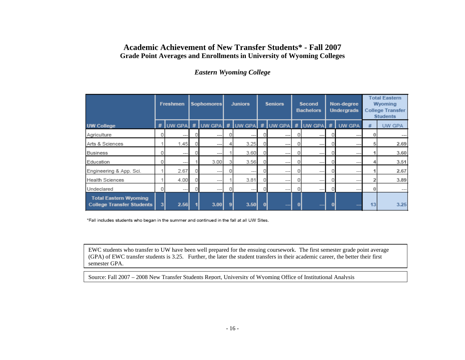## **Academic Achievement of New Transfer Students\* - Fall 2007 Grade Point Averages and Enrollments in University of Wyoming Colleges**

## *Eastern Wyoming College*

|                                                                  | <b>Freshmen</b> |       | Sophomores |         | <b>Juniors</b> |          | <b>Seniors</b> |         | Second<br><b>Bachelors</b> |         | Non-degree<br><b>Undergrads</b> |                                                       | <b>Total Eastern</b><br><b>Wyoming</b><br><b>College Transfer</b><br><b>Students</b> |               |
|------------------------------------------------------------------|-----------------|-------|------------|---------|----------------|----------|----------------|---------|----------------------------|---------|---------------------------------|-------------------------------------------------------|--------------------------------------------------------------------------------------|---------------|
| <b>UW College</b>                                                |                 |       |            |         |                |          |                |         |                            |         |                                 | # UW GPA # UW GPA # UW GPA # UW GPA # UW GPA # UW GPA | #                                                                                    | <b>UW GPA</b> |
| Agriculture                                                      | 0               | ---   |            | $- - -$ | 0              | $\cdots$ |                | $- - -$ | 0                          | $---$   |                                 | $- - -$                                               | 0                                                                                    | $--$          |
| Arts & Sciences                                                  |                 | 1.45  |            | $- - -$ | 4              | 3.25     |                | ---     | 0                          | $- - -$ |                                 | ---                                                   | 5                                                                                    | 2.69          |
| <b>Business</b>                                                  | 0               | $---$ |            | $- - -$ |                | 3.60     |                | ---     | 0                          | ---     |                                 | ---                                                   |                                                                                      | 3.60          |
| Education                                                        | 0               | ---   |            | 3.00    |                | 3.56     |                | $- - -$ | 0                          | $- - -$ |                                 | ---                                                   |                                                                                      | 3.51          |
| Engineering & App. Sci.                                          |                 | 2.67  |            | $- - -$ | 0              | $---$    |                | $- - -$ |                            | $---$   |                                 | $\cdots$                                              |                                                                                      | 2.67          |
| <b>Health Sciences</b>                                           |                 | 4.00  |            | $- - -$ |                | 3.81     |                | $---$   | 0                          | ---     |                                 | ---                                                   |                                                                                      | 3.89          |
| Undeclared                                                       | 0               | ---   |            | $- - -$ | 0              | $---$    |                | $- - -$ | O                          | ---     |                                 | $\cdots$                                              |                                                                                      | $--$          |
| <b>Total Eastern Wyoming</b><br><b>College Transfer Students</b> | $\mathbf{3}$    | 2.56  |            | 3.00    | 9              | 3.50     | o              | ---     | 0                          |         | O                               |                                                       | 13                                                                                   | 3.25          |

\*Fall includes students who began in the summer and continued in the fall at all UW Sites.

EWC students who transfer to UW have been well prepared for the ensuing coursework. The first semester grade point average (GPA) of EWC transfer students is 3.25. Further, the later the student transfers in their academic career, the better their first semester GPA.

Source: Fall 2007 – 2008 New Transfer Students Report, University of Wyoming Office of Institutional Analysis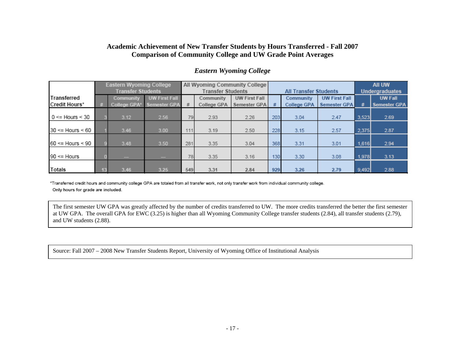#### **Academic Achievement of New Transfer Students by Hours Transferred - Fall 2007 Comparison of Community College and UW Grade Point Averages**

|                           |    | <b>Eastern Wyoming College</b> |                      |     |                          | All Wyoming Community College |     |                              | All UW                |       |                     |
|---------------------------|----|--------------------------------|----------------------|-----|--------------------------|-------------------------------|-----|------------------------------|-----------------------|-------|---------------------|
|                           |    | <b>Transfer Students</b>       |                      |     | <b>Transfer Students</b> |                               |     | <b>All Transfer Students</b> | <b>Undergraduates</b> |       |                     |
| Transferred               |    | <b>Community</b>               | <b>UW First Fall</b> |     | Community                | <b>UW First Fall</b>          |     | Community                    | <b>UW First Fall</b>  |       | <b>UW Fall</b>      |
| Credit Hours*             | 菇  | <b>College GPA*</b>            | Semester GPA         | #   | College GPA              | Semester GPA                  | #   | <b>College GPA</b>           | <b>Semester GPA</b>   | #     | <b>Semester GPA</b> |
| $0 \le$ Hours < 30        |    | 3.12                           | 2.56                 | 79  | 2.93                     | 2.26                          | 203 | 3.04                         | 2.47                  | 3,523 | 2.69                |
| $30 \le$ Hours $\le 60$   |    | 3.46                           | 3.00                 | 111 | 3.19                     | 2.50                          | 228 | 3.15                         | 2.57                  | 2,375 | 2.87                |
| $60 \leq$ Hours $\leq 90$ |    | 3.48                           | 3.50                 | 281 | 3.35                     | 3.04                          | 368 | 3.31                         | 3.01                  | 1,616 | 2.94                |
| $90 \leq$ Hours           |    | $- -$                          | $-1$                 | 78  | 3.35                     | 3.16                          | 130 | 3.30                         | 3.08                  | 1,978 | 3.13                |
| Totals                    | 13 | 3.46                           | 3.25                 | 549 | 3.31                     | 2.84                          | 929 | 3.26                         | 2.79                  | 9,492 | 2.88                |

#### *Eastern Wyoming College*

\*Transferred credit hours and community college GPA are totaled from all transfer work, not only transfer work from individual community college. Only hours for grade are included.

The first semester UW GPA was greatly affected by the number of credits transferred to UW. The more credits transferred the better the first semester at UW GPA. The overall GPA for EWC (3.25) is higher than all Wyoming Community College transfer students (2.84), all transfer students (2.79), and UW students (2.88).

Source: Fall 2007 – 2008 New Transfer Students Report, University of Wyoming Office of Institutional Analysis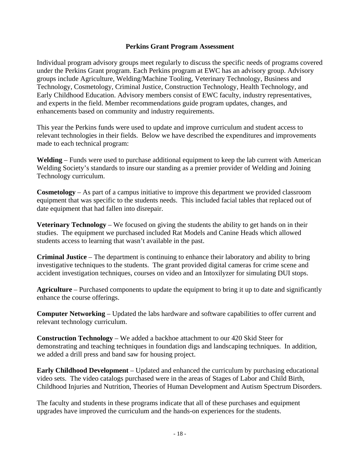#### **Perkins Grant Program Assessment**

Individual program advisory groups meet regularly to discuss the specific needs of programs covered under the Perkins Grant program. Each Perkins program at EWC has an advisory group. Advisory groups include Agriculture, Welding/Machine Tooling, Veterinary Technology, Business and Technology, Cosmetology, Criminal Justice, Construction Technology, Health Technology, and Early Childhood Education. Advisory members consist of EWC faculty, industry representatives, and experts in the field. Member recommendations guide program updates, changes, and enhancements based on community and industry requirements.

This year the Perkins funds were used to update and improve curriculum and student access to relevant technologies in their fields. Below we have described the expenditures and improvements made to each technical program:

**Welding** – Funds were used to purchase additional equipment to keep the lab current with American Welding Society's standards to insure our standing as a premier provider of Welding and Joining Technology curriculum.

**Cosmetology** – As part of a campus initiative to improve this department we provided classroom equipment that was specific to the students needs. This included facial tables that replaced out of date equipment that had fallen into disrepair.

**Veterinary Technology** – We focused on giving the students the ability to get hands on in their studies. The equipment we purchased included Rat Models and Canine Heads which allowed students access to learning that wasn't available in the past.

**Criminal Justice** – The department is continuing to enhance their laboratory and ability to bring investigative techniques to the students. The grant provided digital cameras for crime scene and accident investigation techniques, courses on video and an Intoxilyzer for simulating DUI stops.

**Agriculture** – Purchased components to update the equipment to bring it up to date and significantly enhance the course offerings.

**Computer Networking** – Updated the labs hardware and software capabilities to offer current and relevant technology curriculum.

**Construction Technology** – We added a backhoe attachment to our 420 Skid Steer for demonstrating and teaching techniques in foundation digs and landscaping techniques. In addition, we added a drill press and band saw for housing project.

**Early Childhood Development** – Updated and enhanced the curriculum by purchasing educational video sets. The video catalogs purchased were in the areas of Stages of Labor and Child Birth, Childhood Injuries and Nutrition, Theories of Human Development and Autism Spectrum Disorders.

The faculty and students in these programs indicate that all of these purchases and equipment upgrades have improved the curriculum and the hands-on experiences for the students.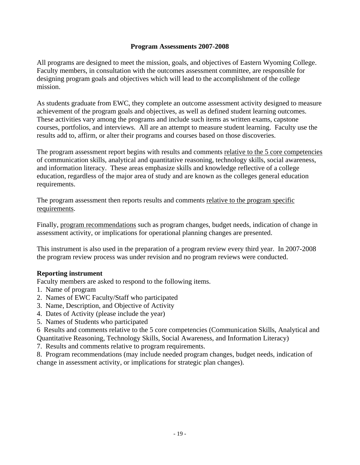## **Program Assessments 2007-2008**

All programs are designed to meet the mission, goals, and objectives of Eastern Wyoming College. Faculty members, in consultation with the outcomes assessment committee, are responsible for designing program goals and objectives which will lead to the accomplishment of the college mission.

As students graduate from EWC, they complete an outcome assessment activity designed to measure achievement of the program goals and objectives, as well as defined student learning outcomes. These activities vary among the programs and include such items as written exams, capstone courses, portfolios, and interviews. All are an attempt to measure student learning. Faculty use the results add to, affirm, or alter their programs and courses based on those discoveries.

The program assessment report begins with results and comments relative to the 5 core competencies of communication skills, analytical and quantitative reasoning, technology skills, social awareness, and information literacy. These areas emphasize skills and knowledge reflective of a college education, regardless of the major area of study and are known as the colleges general education requirements.

The program assessment then reports results and comments relative to the program specific requirements.

Finally, program recommendations such as program changes, budget needs, indication of change in assessment activity, or implications for operational planning changes are presented.

This instrument is also used in the preparation of a program review every third year. In 2007-2008 the program review process was under revision and no program reviews were conducted.

## **Reporting instrument**

Faculty members are asked to respond to the following items.

- 1. Name of program
- 2. Names of EWC Faculty/Staff who participated
- 3. Name, Description, and Objective of Activity
- 4. Dates of Activity (please include the year)
- 5. Names of Students who participated

6 Results and comments relative to the 5 core competencies (Communication Skills, Analytical and

Quantitative Reasoning, Technology Skills, Social Awareness, and Information Literacy)

7. Results and comments relative to program requirements.

8. Program recommendations (may include needed program changes, budget needs, indication of change in assessment activity, or implications for strategic plan changes).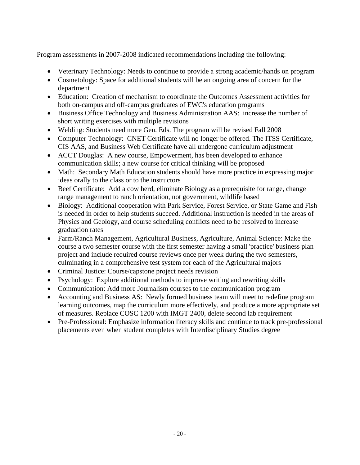Program assessments in 2007-2008 indicated recommendations including the following:

- Veterinary Technology: Needs to continue to provide a strong academic/hands on program
- Cosmetology: Space for additional students will be an ongoing area of concern for the department
- Education: Creation of mechanism to coordinate the Outcomes Assessment activities for both on-campus and off-campus graduates of EWC's education programs
- Business Office Technology and Business Administration AAS: increase the number of short writing exercises with multiple revisions
- Welding: Students need more Gen. Eds. The program will be revised Fall 2008
- Computer Technology: CNET Certificate will no longer be offered. The ITSS Certificate, CIS AAS, and Business Web Certificate have all undergone curriculum adjustment
- ACCT Douglas: A new course, Empowerment, has been developed to enhance communication skills; a new course for critical thinking will be proposed
- Math: Secondary Math Education students should have more practice in expressing major ideas orally to the class or to the instructors
- Beef Certificate: Add a cow herd, eliminate Biology as a prerequisite for range, change range management to ranch orientation, not government, wildlife based
- Biology: Additional cooperation with Park Service, Forest Service, or State Game and Fish is needed in order to help students succeed. Additional instruction is needed in the areas of Physics and Geology, and course scheduling conflicts need to be resolved to increase graduation rates
- Farm/Ranch Management, Agricultural Business, Agriculture, Animal Science: Make the course a two semester course with the first semester having a small 'practice' business plan project and include required course reviews once per week during the two semesters, culminating in a comprehensive test system for each of the Agricultural majors
- Criminal Justice: Course/capstone project needs revision
- Psychology: Explore additional methods to improve writing and rewriting skills
- Communication: Add more Journalism courses to the communication program
- Accounting and Business AS: Newly formed business team will meet to redefine program learning outcomes, map the curriculum more effectively, and produce a more appropriate set of measures. Replace COSC 1200 with IMGT 2400, delete second lab requirement
- Pre-Professional: Emphasize information literacy skills and continue to track pre-professional placements even when student completes with Interdisciplinary Studies degree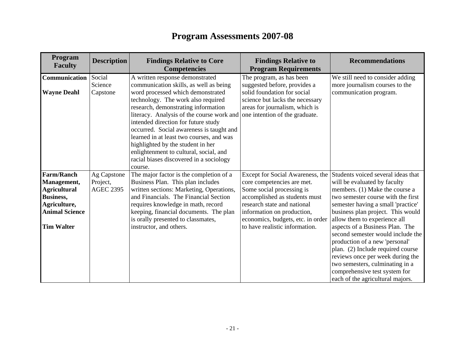# **Program Assessments 2007-08**

| Program<br><b>Faculty</b>          | <b>Description</b>           | <b>Findings Relative to Core</b><br><b>Competencies</b>                       | <b>Findings Relative to</b><br><b>Program Requirements</b> | <b>Recommendations</b>                                         |
|------------------------------------|------------------------------|-------------------------------------------------------------------------------|------------------------------------------------------------|----------------------------------------------------------------|
| Communication                      | Social                       | A written response demonstrated                                               | The program, as has been                                   | We still need to consider adding                               |
|                                    | Science                      | communication skills, as well as being                                        | suggested before, provides a                               | more journalism courses to the                                 |
| <b>Wayne Deahl</b>                 | Capstone                     | word processed which demonstrated                                             | solid foundation for social                                | communication program.                                         |
|                                    |                              | technology. The work also required                                            | science but lacks the necessary                            |                                                                |
|                                    |                              | research, demonstrating information                                           | areas for journalism, which is                             |                                                                |
|                                    |                              | literacy. Analysis of the course work and                                     | one intention of the graduate.                             |                                                                |
|                                    |                              | intended direction for future study                                           |                                                            |                                                                |
|                                    |                              | occurred. Social awareness is taught and                                      |                                                            |                                                                |
|                                    |                              | learned in at least two courses, and was                                      |                                                            |                                                                |
|                                    |                              | highlighted by the student in her                                             |                                                            |                                                                |
|                                    |                              | enlightenment to cultural, social, and                                        |                                                            |                                                                |
|                                    |                              | racial biases discovered in a sociology                                       |                                                            |                                                                |
| <b>Farm/Ranch</b>                  |                              | course.                                                                       |                                                            | Students voiced several ideas that                             |
|                                    | Ag Capstone                  | The major factor is the completion of a                                       | Except for Social Awareness, the                           |                                                                |
| Management,<br><b>Agricultural</b> | Project,<br><b>AGEC 2395</b> | Business Plan. This plan includes<br>written sections: Marketing, Operations, | core competencies are met.<br>Some social processing is    | will be evaluated by faculty<br>members. (1) Make the course a |
| Business,                          |                              | and Financials. The Financial Section                                         | accomplished as students must                              | two semester course with the first                             |
| Agriculture,                       |                              | requires knowledge in math, record                                            | research state and national                                | semester having a small 'practice'                             |
| <b>Animal Science</b>              |                              | keeping, financial documents. The plan                                        | information on production,                                 | business plan project. This would                              |
|                                    |                              | is orally presented to classmates,                                            | economics, budgets, etc. in order                          | allow them to experience all                                   |
| <b>Tim Walter</b>                  |                              | instructor, and others.                                                       | to have realistic information.                             | aspects of a Business Plan. The                                |
|                                    |                              |                                                                               |                                                            | second semester would include the                              |
|                                    |                              |                                                                               |                                                            | production of a new 'personal'                                 |
|                                    |                              |                                                                               |                                                            | plan. (2) Include required course                              |
|                                    |                              |                                                                               |                                                            | reviews once per week during the                               |
|                                    |                              |                                                                               |                                                            | two semesters, culminating in a                                |
|                                    |                              |                                                                               |                                                            | comprehensive test system for                                  |
|                                    |                              |                                                                               |                                                            | each of the agricultural majors.                               |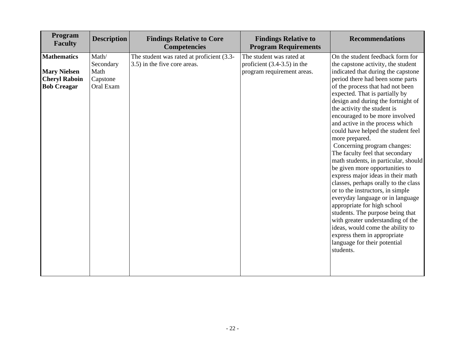| Program<br><b>Faculty</b>                                                               | <b>Description</b>                                  | <b>Findings Relative to Core</b><br><b>Competencies</b>                   | <b>Findings Relative to</b><br><b>Program Requirements</b>                              | <b>Recommendations</b>                                                                                                                                                                                                                                                                                                                                                                                                                                                                                                                                                                                                                                                                                                                                                                                                                                                                                                                            |
|-----------------------------------------------------------------------------------------|-----------------------------------------------------|---------------------------------------------------------------------------|-----------------------------------------------------------------------------------------|---------------------------------------------------------------------------------------------------------------------------------------------------------------------------------------------------------------------------------------------------------------------------------------------------------------------------------------------------------------------------------------------------------------------------------------------------------------------------------------------------------------------------------------------------------------------------------------------------------------------------------------------------------------------------------------------------------------------------------------------------------------------------------------------------------------------------------------------------------------------------------------------------------------------------------------------------|
| <b>Mathematics</b><br><b>Mary Nielsen</b><br><b>Cheryl Raboin</b><br><b>Bob Creagar</b> | Math/<br>Secondary<br>Math<br>Capstone<br>Oral Exam | The student was rated at proficient (3.3-<br>3.5) in the five core areas. | The student was rated at<br>proficient $(3.4-3.5)$ in the<br>program requirement areas. | On the student feedback form for<br>the capstone activity, the student<br>indicated that during the capstone<br>period there had been some parts<br>of the process that had not been<br>expected. That is partially by<br>design and during the fortnight of<br>the activity the student is<br>encouraged to be more involved<br>and active in the process which<br>could have helped the student feel<br>more prepared.<br>Concerning program changes:<br>The faculty feel that secondary<br>math students, in particular, should<br>be given more opportunities to<br>express major ideas in their math<br>classes, perhaps orally to the class<br>or to the instructors, in simple<br>everyday language or in language<br>appropriate for high school<br>students. The purpose being that<br>with greater understanding of the<br>ideas, would come the ability to<br>express them in appropriate<br>language for their potential<br>students. |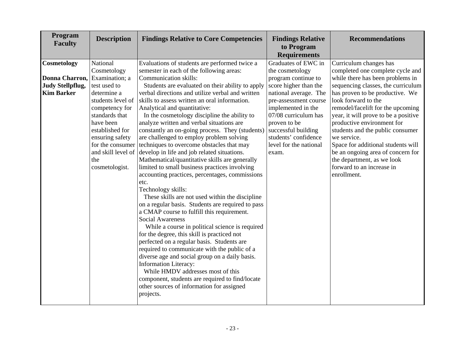| Program<br><b>Faculty</b>     | <b>Description</b> | <b>Findings Relative to Core Competencies</b>                                                  | <b>Findings Relative</b><br>to Program<br><b>Requirements</b> | <b>Recommendations</b>               |
|-------------------------------|--------------------|------------------------------------------------------------------------------------------------|---------------------------------------------------------------|--------------------------------------|
| Cosmetology                   | National           | Evaluations of students are performed twice a                                                  | Graduates of EWC in                                           | Curriculum changes has               |
|                               | Cosmetology        | semester in each of the following areas:                                                       | the cosmetology                                               | completed one complete cycle and     |
| Donna Charron, Examination; a |                    | Communication skills:                                                                          | program continue to                                           | while there has been problems in     |
| <b>Judy Stellpflug,</b>       | test used to       | Students are evaluated on their ability to apply                                               | score higher than the                                         | sequencing classes, the curriculum   |
| <b>Kim Barker</b>             | determine a        | verbal directions and utilize verbal and written                                               | national average. The                                         | has proven to be productive. We      |
|                               | students level of  | skills to assess written an oral information.                                                  | pre-assessment course                                         | look forward to the                  |
|                               | competency for     | Analytical and quantitative:                                                                   | implemented in the                                            | remodel/facelift for the upcoming    |
|                               | standards that     | In the cosmetology discipline the ability to                                                   | 07/08 curriculum has                                          | year, it will prove to be a positive |
|                               | have been          | analyze written and verbal situations are                                                      | proven to be                                                  | productive environment for           |
|                               | established for    | constantly an on-going process. They (students)                                                | successful building                                           | students and the public consumer     |
|                               | ensuring safety    | are challenged to employ problem solving                                                       | students' confidence                                          | we service.                          |
|                               | for the consumer   | techniques to overcome obstacles that may                                                      | level for the national                                        | Space for additional students will   |
|                               | and skill level of | develop in life and job related situations.                                                    | exam.                                                         | be an ongoing area of concern for    |
|                               | the                | Mathematical/quantitative skills are generally                                                 |                                                               | the department, as we look           |
|                               | cosmetologist.     | limited to small business practices involving                                                  |                                                               | forward to an increase in            |
|                               |                    | accounting practices, percentages, commissions                                                 |                                                               | enrollment.                          |
|                               |                    | etc.                                                                                           |                                                               |                                      |
|                               |                    | Technology skills:                                                                             |                                                               |                                      |
|                               |                    | These skills are not used within the discipline                                                |                                                               |                                      |
|                               |                    | on a regular basis. Students are required to pass                                              |                                                               |                                      |
|                               |                    | a CMAP course to fulfill this requirement.                                                     |                                                               |                                      |
|                               |                    | <b>Social Awareness</b>                                                                        |                                                               |                                      |
|                               |                    | While a course in political science is required                                                |                                                               |                                      |
|                               |                    | for the degree, this skill is practiced not                                                    |                                                               |                                      |
|                               |                    | perfected on a regular basis. Students are                                                     |                                                               |                                      |
|                               |                    | required to communicate with the public of a<br>diverse age and social group on a daily basis. |                                                               |                                      |
|                               |                    | <b>Information Literacy:</b>                                                                   |                                                               |                                      |
|                               |                    | While HMDV addresses most of this                                                              |                                                               |                                      |
|                               |                    | component, students are required to find/locate                                                |                                                               |                                      |
|                               |                    | other sources of information for assigned                                                      |                                                               |                                      |
|                               |                    | projects.                                                                                      |                                                               |                                      |
|                               |                    |                                                                                                |                                                               |                                      |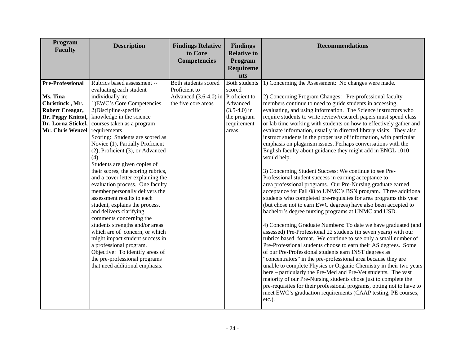| Program<br><b>Faculty</b>                                                                                             | <b>Description</b>                                                                                                                                                                                                                                                                                                                                                                                                                                                                                                                                                                                                                                                                                                                                                                                                  | <b>Findings Relative</b><br>to Core<br><b>Competencies</b>   | <b>Findings</b><br><b>Relative to</b><br>Program<br>Requireme<br><b>nts</b> | <b>Recommendations</b>                                                                                                                                                                                                                                                                                                                                                                                                                                                                                                                                                                                                                                                                                                                                                                                                                                                                                                                                                                                                                                                                                                                                                                                                                                                                                                                                                                                                                                                                                                                                                                                                                                                                                                                                                                                                                   |
|-----------------------------------------------------------------------------------------------------------------------|---------------------------------------------------------------------------------------------------------------------------------------------------------------------------------------------------------------------------------------------------------------------------------------------------------------------------------------------------------------------------------------------------------------------------------------------------------------------------------------------------------------------------------------------------------------------------------------------------------------------------------------------------------------------------------------------------------------------------------------------------------------------------------------------------------------------|--------------------------------------------------------------|-----------------------------------------------------------------------------|------------------------------------------------------------------------------------------------------------------------------------------------------------------------------------------------------------------------------------------------------------------------------------------------------------------------------------------------------------------------------------------------------------------------------------------------------------------------------------------------------------------------------------------------------------------------------------------------------------------------------------------------------------------------------------------------------------------------------------------------------------------------------------------------------------------------------------------------------------------------------------------------------------------------------------------------------------------------------------------------------------------------------------------------------------------------------------------------------------------------------------------------------------------------------------------------------------------------------------------------------------------------------------------------------------------------------------------------------------------------------------------------------------------------------------------------------------------------------------------------------------------------------------------------------------------------------------------------------------------------------------------------------------------------------------------------------------------------------------------------------------------------------------------------------------------------------------------|
| <b>Pre-Professional</b>                                                                                               | Rubrics based assessment --<br>evaluating each student                                                                                                                                                                                                                                                                                                                                                                                                                                                                                                                                                                                                                                                                                                                                                              | Both students scored<br>Proficient to                        | <b>Both students</b><br>scored                                              | 1) Concerning the Assessment: No changes were made.                                                                                                                                                                                                                                                                                                                                                                                                                                                                                                                                                                                                                                                                                                                                                                                                                                                                                                                                                                                                                                                                                                                                                                                                                                                                                                                                                                                                                                                                                                                                                                                                                                                                                                                                                                                      |
| Ms. Tina<br>Christinck, Mr.<br><b>Robert Creagar,</b><br>Dr. Peggy Knittel,<br>Dr. Lorna Stickel,<br>Mr. Chris Wenzel | individually in:<br>1) EWC's Core Competencies<br>2) Discipline-specific<br>knowledge in the science<br>courses taken as a program<br>requirements<br>Scoring: Students are scored as<br>Novice (1), Partially Proficient<br>(2), Proficient (3), or Advanced<br>(4)<br>Students are given copies of<br>their scores, the scoring rubrics,<br>and a cover letter explaining the<br>evaluation process. One faculty<br>member personally delivers the<br>assessment results to each<br>student, explains the process,<br>and delivers clarifying<br>comments concerning the<br>students strengths and/or areas<br>which are of concern, or which<br>might impact student success in<br>a professional program.<br>Objective: To identify areas of<br>the pre-professional programs<br>that need additional emphasis. | Advanced $(3.6-4.0)$ in Proficient to<br>the five core areas | Advanced<br>$(3.5-4.0)$ in<br>the program<br>requirement<br>areas.          | 2) Concerning Program Changes: Pre-professional faculty<br>members continue to need to guide students in accessing,<br>evaluating, and using information. The Science instructors who<br>require students to write review/research papers must spend class<br>or lab time working with students on how to effectively gather and<br>evaluate information, usually in directed library visits. They also<br>instruct students in the proper use of information, with particular<br>emphasis on plagarism issues. Perhaps conversations with the<br>English faculty about guidance they might add in ENGL 1010<br>would help.<br>3) Concerning Student Success: We continue to see Pre-<br>Professional student success in earning acceptance to<br>area professional programs. Our Pre-Nursing graduate earned<br>acceptance for Fall 08 to UNMC's BSN program. Three additional<br>students who completed pre-requisites for area programs this year<br>(but chose not to earn EWC degrees) have also been accepted to<br>bachelor's degree nursing programs at UNMC and USD.<br>4) Concerning Graduate Numbers: To date we have graduated (and<br>assessed) Pre-Professional 22 students (in seven years) with our<br>rubrics based format. We continue to see only a small number of<br>Pre-Professional students choose to earn their AS degrees. Some<br>of our Pre-Professional students earn INST degrees as<br>"concentrators" in the pre-professional area because they are<br>unable to complete Physics or Organic Chemistry in their two years<br>here - particularly the Pre-Med and Pre-Vet students. The vast<br>majority of our Pre-Nursing students chose just to complete the<br>pre-requisites for their professional programs, opting not to have to<br>meet EWC's graduation requirements (CAAP testing, PE courses, |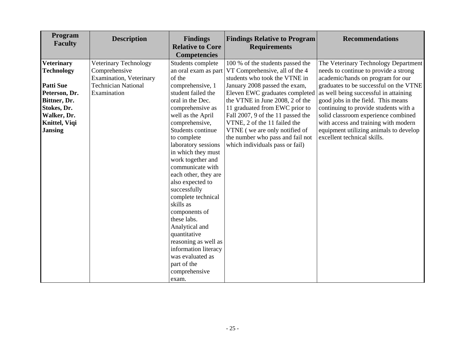| Program<br><b>Faculty</b> | <b>Description</b>              | <b>Findings</b><br><b>Relative to Core</b><br><b>Competencies</b> | <b>Findings Relative to Program</b><br><b>Requirements</b> | <b>Recommendations</b>                 |
|---------------------------|---------------------------------|-------------------------------------------------------------------|------------------------------------------------------------|----------------------------------------|
| <b>Veterinary</b>         | Veterinary Technology           | Students complete                                                 | 100 % of the students passed the                           | The Veterinary Technology Department   |
| <b>Technology</b>         | Comprehensive                   |                                                                   | an oral exam as part VT Comprehensive, all of the 4        | needs to continue to provide a strong  |
|                           | <b>Examination</b> , Veterinary | of the                                                            | students who took the VTNE in                              | academic/hands on program for our      |
| <b>Patti Sue</b>          | <b>Technician National</b>      | comprehensive, 1                                                  | January 2008 passed the exam,                              | graduates to be successful on the VTNE |
| Peterson, Dr.             | Examination                     | student failed the                                                | Eleven EWC graduates completed                             | as well being successful in attaining  |
| Bittner, Dr.              |                                 | oral in the Dec.                                                  | the VTNE in June 2008, 2 of the                            | good jobs in the field. This means     |
| Stokes, Dr.               |                                 | comprehensive as                                                  | 11 graduated from EWC prior to                             | continuing to provide students with a  |
| Walker, Dr.               |                                 | well as the April                                                 | Fall 2007, 9 of the 11 passed the                          | solid classroom experience combined    |
| <b>Knittel</b> , Viqi     |                                 | comprehensive,                                                    | VTNE, 2 of the 11 failed the                               | with access and training with modern   |
| <b>Jansing</b>            |                                 | Students continue                                                 | VTNE (we are only notified of                              | equipment utilizing animals to develop |
|                           |                                 | to complete                                                       | the number who pass and fail not                           | excellent technical skills.            |
|                           |                                 | laboratory sessions                                               | which individuals pass or fail)                            |                                        |
|                           |                                 | in which they must                                                |                                                            |                                        |
|                           |                                 | work together and                                                 |                                                            |                                        |
|                           |                                 | communicate with                                                  |                                                            |                                        |
|                           |                                 | each other, they are                                              |                                                            |                                        |
|                           |                                 | also expected to                                                  |                                                            |                                        |
|                           |                                 | successfully                                                      |                                                            |                                        |
|                           |                                 | complete technical                                                |                                                            |                                        |
|                           |                                 | skills as                                                         |                                                            |                                        |
|                           |                                 | components of                                                     |                                                            |                                        |
|                           |                                 | these labs.                                                       |                                                            |                                        |
|                           |                                 | Analytical and                                                    |                                                            |                                        |
|                           |                                 | quantitative                                                      |                                                            |                                        |
|                           |                                 | reasoning as well as                                              |                                                            |                                        |
|                           |                                 | information literacy                                              |                                                            |                                        |
|                           |                                 | was evaluated as                                                  |                                                            |                                        |
|                           |                                 | part of the                                                       |                                                            |                                        |
|                           |                                 | comprehensive                                                     |                                                            |                                        |
|                           |                                 | exam.                                                             |                                                            |                                        |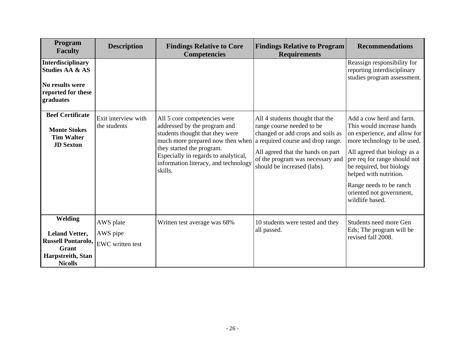| <b>Program</b><br><b>Faculty</b>                                                                                               | <b>Description</b>                  | <b>Findings Relative to Core</b><br><b>Competencies</b>                                                                                                                                                                                                                                       | <b>Findings Relative to Program</b><br><b>Requirements</b>                                                                                                                                                | <b>Recommendations</b>                                                                                                                                                                                                                                                                                               |
|--------------------------------------------------------------------------------------------------------------------------------|-------------------------------------|-----------------------------------------------------------------------------------------------------------------------------------------------------------------------------------------------------------------------------------------------------------------------------------------------|-----------------------------------------------------------------------------------------------------------------------------------------------------------------------------------------------------------|----------------------------------------------------------------------------------------------------------------------------------------------------------------------------------------------------------------------------------------------------------------------------------------------------------------------|
| <b>Interdisciplinary</b><br><b>Studies AA &amp; AS</b><br>No results were<br>reported for these<br>graduates                   |                                     |                                                                                                                                                                                                                                                                                               |                                                                                                                                                                                                           | Reassign responsibility for<br>reporting interdisciplinary<br>studies program assessment.                                                                                                                                                                                                                            |
| <b>Beef Certificate</b><br><b>Monte Stokes</b><br><b>Tim Walter</b><br><b>JD</b> Sexton                                        | Exit interview with<br>the students | All 5 core competencies were<br>addressed by the program and<br>students thought that they were<br>much more prepared now then when a required course and drop range.<br>they started the program.<br>Especially in regards to analytical,<br>information literacy, and technology<br>skills. | All 4 students thought that the<br>range course needed to be<br>changed or add crops and soils as<br>All agreed that the hands on part<br>of the program was necessary and<br>should be increased (labs). | Add a cow herd and farm.<br>This would increase hands<br>on experience, and allow for<br>more technology to be used.<br>All agreed that biology as a<br>pre req for range should not<br>be required, but biology<br>helped with nutrition.<br>Range needs to be ranch<br>oriented not government,<br>wildlife based. |
| Welding<br><b>Leland Vetter,</b><br><b>Russell Pontarolo, EWC written test</b><br>Grant<br>Harpstreith, Stan<br><b>Nicolls</b> | AWS plate<br>AWS pipe               | Written test average was 68%                                                                                                                                                                                                                                                                  | 10 students were tested and they<br>all passed.                                                                                                                                                           | Students need more Gen<br>Eds; The program will be<br>revised fall 2008.                                                                                                                                                                                                                                             |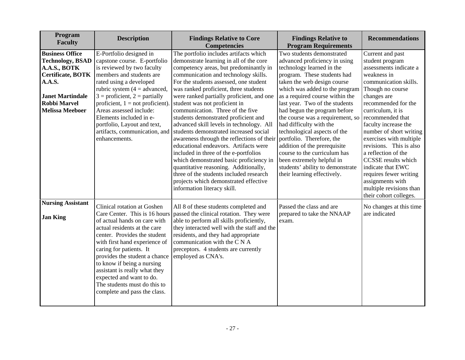| Program<br><b>Faculty</b>                                                                                                                                                                  | <b>Description</b>                                                                                                                                                                                                                                                                                                                                                                                                   | <b>Findings Relative to Core</b><br><b>Competencies</b>                                                                                                                                                                                                                                                                                                                                                                                                                                                                                                                                                                                                                                                                                                                                                                                       | <b>Findings Relative to</b><br><b>Program Requirements</b>                                                                                                                                                                                                                                                                                                                                                                                                                                                                                                                               | <b>Recommendations</b>                                                                                                                                                                                                                                                                                                                                                                                                                                                                         |
|--------------------------------------------------------------------------------------------------------------------------------------------------------------------------------------------|----------------------------------------------------------------------------------------------------------------------------------------------------------------------------------------------------------------------------------------------------------------------------------------------------------------------------------------------------------------------------------------------------------------------|-----------------------------------------------------------------------------------------------------------------------------------------------------------------------------------------------------------------------------------------------------------------------------------------------------------------------------------------------------------------------------------------------------------------------------------------------------------------------------------------------------------------------------------------------------------------------------------------------------------------------------------------------------------------------------------------------------------------------------------------------------------------------------------------------------------------------------------------------|------------------------------------------------------------------------------------------------------------------------------------------------------------------------------------------------------------------------------------------------------------------------------------------------------------------------------------------------------------------------------------------------------------------------------------------------------------------------------------------------------------------------------------------------------------------------------------------|------------------------------------------------------------------------------------------------------------------------------------------------------------------------------------------------------------------------------------------------------------------------------------------------------------------------------------------------------------------------------------------------------------------------------------------------------------------------------------------------|
| <b>Business Office</b><br><b>Technology, BSAD</b><br>A.A.S., BOTK<br><b>Certificate, BOTK</b><br><b>A.A.S.</b><br><b>Janet Martindale</b><br><b>Robbi Marvel</b><br><b>Melissa Meeboer</b> | E-Portfolio designed in<br>capstone course. E-portfolio<br>is reviewed by two faculty<br>members and students are<br>rated using a developed<br>rubric system $(4 = \text{advanced},$<br>$3 =$ proficient, $2 =$ partially<br>proficient, $1 = not$ proficient)<br>Areas assessed include:<br>Elements included in e-<br>portfolio, Layout and text,<br>artifacts, communication, and<br>enhancements.               | The portfolio includes artifacts which<br>demonstrate learning in all of the core<br>competency areas, but predominantly in<br>communication and technology skills.<br>For the students assessed, one student<br>was ranked proficient, three students<br>were ranked partially proficient, and one<br>student was not proficient in<br>communication. Three of the five<br>students demonstrated proficient and<br>advanced skill levels in technology. All<br>students demonstrated increased social<br>awareness through the reflections of their<br>educational endeavors. Artifacts were<br>included in three of the e-portfolios<br>which demonstrated basic proficiency in<br>quantitative reasoning. Additionally,<br>three of the students included research<br>projects which demonstrated effective<br>information literacy skill. | Two students demonstrated<br>advanced proficiency in using<br>technology learned in the<br>program. These students had<br>taken the web design course<br>which was added to the program<br>as a required course within the<br>last year. Two of the students<br>had begun the program before<br>the course was a requirement, so<br>had difficulty with the<br>technological aspects of the<br>portfolio. Therefore, the<br>addition of the prerequisite<br>course to the curriculum has<br>been extremely helpful in<br>students' ability to demonstrate<br>their learning effectively. | Current and past<br>student program<br>assessments indicate a<br>weakness in<br>communication skills.<br>Though no course<br>changes are<br>recommended for the<br>curriculum, it is<br>recommended that<br>faculty increase the<br>number of short writing<br>exercises with multiple<br>revisions. This is also<br>a reflection of the<br><b>CCSSE</b> results which<br>indicate that EWC<br>requires fewer writing<br>assignments with<br>multiple revisions than<br>their cohort colleges. |
| <b>Nursing Assistant</b><br><b>Jan King</b>                                                                                                                                                | Clinical rotation at Goshen<br>Care Center. This is 16 hours<br>of actual hands on care with<br>actual residents at the care<br>center. Provides the student<br>with first hand experience of<br>caring for patients. It<br>provides the student a chance<br>to know if being a nursing<br>assistant is really what they<br>expected and want to do.<br>The students must do this to<br>complete and pass the class. | All 8 of these students completed and<br>passed the clinical rotation. They were<br>able to perform all skills proficiently,<br>they interacted well with the staff and the<br>residents, and they had appropriate<br>communication with the C N A<br>preceptors. 4 students are currently<br>employed as CNA's.                                                                                                                                                                                                                                                                                                                                                                                                                                                                                                                              | Passed the class and are<br>prepared to take the NNAAP<br>exam.                                                                                                                                                                                                                                                                                                                                                                                                                                                                                                                          | No changes at this time<br>are indicated                                                                                                                                                                                                                                                                                                                                                                                                                                                       |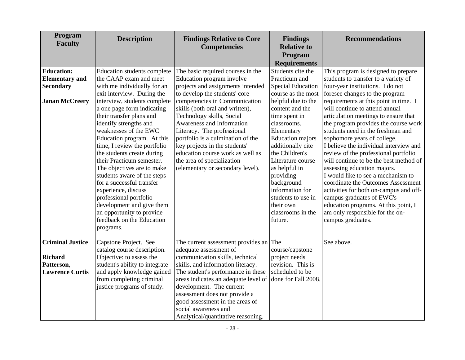| Program<br><b>Faculty</b> | <b>Description</b>                                   | <b>Findings Relative to Core</b><br><b>Competencies</b>              | <b>Findings</b><br><b>Relative to</b><br>Program<br><b>Requirements</b> | <b>Recommendations</b>                 |
|---------------------------|------------------------------------------------------|----------------------------------------------------------------------|-------------------------------------------------------------------------|----------------------------------------|
| <b>Education:</b>         | Education students complete                          | The basic required courses in the                                    | Students cite the                                                       | This program is designed to prepare    |
| <b>Elementary</b> and     | the CAAP exam and meet                               | Education program involve                                            | Practicum and                                                           | students to transfer to a variety of   |
| <b>Secondary</b>          | with me individually for an                          | projects and assignments intended                                    | <b>Special Education</b>                                                | four-year institutions. I do not       |
|                           | exit interview. During the                           | to develop the students' core                                        | course as the most                                                      | foresee changes to the program         |
| <b>Janan McCreery</b>     | interview, students complete                         | competencies in Communication                                        | helpful due to the                                                      | requirements at this point in time. I  |
|                           | a one page form indicating                           | skills (both oral and written),                                      | content and the                                                         | will continue to attend annual         |
|                           | their transfer plans and                             | Technology skills, Social                                            | time spent in                                                           | articulation meetings to ensure that   |
|                           | identify strengths and                               | <b>Awareness and Information</b>                                     | classrooms.                                                             | the program provides the course work   |
|                           | weaknesses of the EWC                                | Literacy. The professional                                           | Elementary                                                              | students need in the freshman and      |
|                           | Education program. At this                           | portfolio is a culmination of the                                    | <b>Education</b> majors                                                 | sophomore years of college.            |
|                           | time, I review the portfolio                         | key projects in the students'                                        | additionally cite                                                       | I believe the individual interview and |
|                           | the students create during                           | education course work as well as                                     | the Children's                                                          | review of the professional portfolio   |
|                           | their Practicum semester.                            | the area of specialization                                           | Literature course                                                       | will continue to be the best method of |
|                           | The objectives are to make                           | (elementary or secondary level).                                     | as helpful in                                                           | assessing education majors.            |
|                           | students aware of the steps                          |                                                                      | providing                                                               | I would like to see a mechanism to     |
|                           | for a successful transfer                            |                                                                      | background                                                              | coordinate the Outcomes Assessment     |
|                           | experience, discuss                                  |                                                                      | information for                                                         | activities for both on-campus and off- |
|                           | professional portfolio                               |                                                                      | students to use in                                                      | campus graduates of EWC's              |
|                           | development and give them                            |                                                                      | their own                                                               | education programs. At this point, I   |
|                           | an opportunity to provide                            |                                                                      | classrooms in the                                                       | am only responsible for the on-        |
|                           | feedback on the Education                            |                                                                      | future.                                                                 | campus graduates.                      |
|                           | programs.                                            |                                                                      |                                                                         |                                        |
| <b>Criminal Justice</b>   |                                                      |                                                                      |                                                                         | See above.                             |
|                           | Capstone Project. See<br>catalog course description. | The current assessment provides an $ $ The<br>adequate assessment of | course/capstone                                                         |                                        |
| <b>Richard</b>            | Objective: to assess the                             | communication skills, technical                                      | project needs                                                           |                                        |
| Patterson,                | student's ability to integrate                       | skills, and information literacy.                                    | revision. This is                                                       |                                        |
| <b>Lawrence Curtis</b>    | and apply knowledge gained                           | The student's performance in these                                   | scheduled to be                                                         |                                        |
|                           | from completing criminal                             | areas indicates an adequate level of                                 | done for Fall 2008.                                                     |                                        |
|                           | justice programs of study.                           | development. The current                                             |                                                                         |                                        |
|                           |                                                      | assessment does not provide a                                        |                                                                         |                                        |
|                           |                                                      | good assessment in the areas of                                      |                                                                         |                                        |
|                           |                                                      | social awareness and                                                 |                                                                         |                                        |
|                           |                                                      | Analytical/quantitative reasoning.                                   |                                                                         |                                        |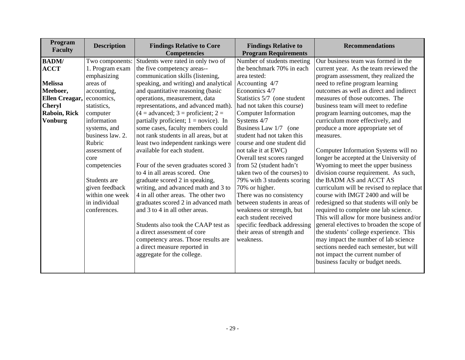| Program<br><b>Faculty</b> | <b>Description</b> | <b>Findings Relative to Core</b><br><b>Competencies</b>             | <b>Findings Relative to</b><br><b>Program Requirements</b> | <b>Recommendations</b>                                                            |  |  |
|---------------------------|--------------------|---------------------------------------------------------------------|------------------------------------------------------------|-----------------------------------------------------------------------------------|--|--|
| <b>BADM/</b>              | Two components:    | Students were rated in only two of                                  | Number of students meeting                                 | Our business team was formed in the                                               |  |  |
| <b>ACCT</b>               | 1. Program exam    | the five competency areas--                                         | the benchmark 70% in each                                  | current year. As the team reviewed the                                            |  |  |
|                           | emphasizing        | communication skills (listening,                                    | area tested:                                               | program assessment, they realized the                                             |  |  |
| <b>Melissa</b>            | areas of           | speaking, and writing) and analytical                               | Accounting 4/7                                             | need to refine program learning                                                   |  |  |
| Meeboer,                  | accounting,        | and quantitative reasoning (basic                                   | Economics 4/7                                              | outcomes as well as direct and indirect                                           |  |  |
| Ellen Creagar,            | economics,         | operations, measurement, data                                       | Statistics 5/7 (one student                                | measures of those outcomes. The                                                   |  |  |
| <b>Cheryl</b>             | statistics,        | representations, and advanced math).                                | had not taken this course)                                 | business team will meet to redefine                                               |  |  |
| Raboin, Rick              | computer           | $(4 = \text{advanced}; 3 = \text{profit}; 2 =$                      | <b>Computer Information</b>                                | program learning outcomes, map the                                                |  |  |
| <b>Vonburg</b>            | information        | partially proficient; $1 = \text{novice}$ ). In                     | Systems 4/7                                                | curriculum more effectively, and                                                  |  |  |
|                           | systems, and       | some cases, faculty members could                                   | Business Law 1/7 (one                                      | produce a more appropriate set of                                                 |  |  |
|                           | business law. 2.   | not rank students in all areas, but at                              | student had not taken this                                 | measures.                                                                         |  |  |
|                           | Rubric             | least two independent rankings were                                 | course and one student did                                 |                                                                                   |  |  |
|                           | assessment of      | available for each student.                                         | not take it at EWC)                                        | Computer Information Systems will no                                              |  |  |
|                           | core               |                                                                     | Overall test scores ranged                                 | longer be accepted at the University of                                           |  |  |
|                           | competencies       | Four of the seven graduates scored 3                                | from 52 (student hadn't                                    | Wyoming to meet the upper business                                                |  |  |
|                           |                    | to 4 in all areas scored. One                                       | taken two of the courses) to                               | division course requirement. As such,                                             |  |  |
|                           | Students are       | graduate scored 2 in speaking,                                      | 79% with 3 students scoring                                | the BADM AS and ACCT AS                                                           |  |  |
|                           | given feedback     | writing, and advanced math and 3 to                                 | 70% or higher.                                             | curriculum will be revised to replace that                                        |  |  |
|                           | within one week    | 4 in all other areas. The other two                                 | There was no consistency                                   | course with IMGT 2400 and will be                                                 |  |  |
|                           | in individual      | graduates scored 2 in advanced math                                 | between students in areas of                               | redesigned so that students will only be                                          |  |  |
|                           | conferences.       | and 3 to 4 in all other areas.                                      | weakness or strength, but<br>each student received         | required to complete one lab science.<br>This will allow for more business and/or |  |  |
|                           |                    | Students also took the CAAP test as                                 |                                                            |                                                                                   |  |  |
|                           |                    | a direct assessment of core                                         | specific feedback addressing                               | general electives to broaden the scope of                                         |  |  |
|                           |                    |                                                                     | their areas of strength and<br>weakness.                   | the students' college experience. This<br>may impact the number of lab science    |  |  |
|                           |                    | competency areas. Those results are<br>a direct measure reported in |                                                            | sections needed each semester, but will                                           |  |  |
|                           |                    | aggregate for the college.                                          |                                                            | not impact the current number of                                                  |  |  |
|                           |                    |                                                                     |                                                            | business faculty or budget needs.                                                 |  |  |
|                           |                    |                                                                     |                                                            |                                                                                   |  |  |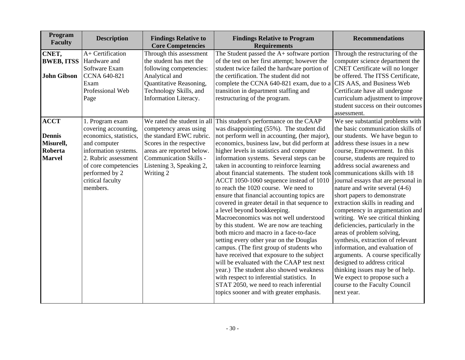| Program<br><b>Faculty</b>                                             | <b>Description</b>                                                                                                                                                                                          | <b>Findings Relative to</b><br><b>Core Competencies</b>                                                                                                                               | <b>Findings Relative to Program</b><br><b>Requirements</b>                                                                                                                                                                                                                                                                                                                                                                                                                                                                                                                                                                                                                                                                                                                                                                                                                                                                                                                                                                                                                                                              | <b>Recommendations</b>                                                                                                                                                                                                                                                                                                                                                                                                                                                                                                                                                                                                                                                                                                                                                                                                          |
|-----------------------------------------------------------------------|-------------------------------------------------------------------------------------------------------------------------------------------------------------------------------------------------------------|---------------------------------------------------------------------------------------------------------------------------------------------------------------------------------------|-------------------------------------------------------------------------------------------------------------------------------------------------------------------------------------------------------------------------------------------------------------------------------------------------------------------------------------------------------------------------------------------------------------------------------------------------------------------------------------------------------------------------------------------------------------------------------------------------------------------------------------------------------------------------------------------------------------------------------------------------------------------------------------------------------------------------------------------------------------------------------------------------------------------------------------------------------------------------------------------------------------------------------------------------------------------------------------------------------------------------|---------------------------------------------------------------------------------------------------------------------------------------------------------------------------------------------------------------------------------------------------------------------------------------------------------------------------------------------------------------------------------------------------------------------------------------------------------------------------------------------------------------------------------------------------------------------------------------------------------------------------------------------------------------------------------------------------------------------------------------------------------------------------------------------------------------------------------|
| CNET,<br><b>BWEB, ITSS</b><br><b>John Gibson</b>                      | A+ Certification<br>Hardware and<br>Software Exam<br><b>CCNA 640-821</b><br>Exam<br>Professional Web<br>Page                                                                                                | Through this assessment<br>the student has met the<br>following competencies:<br>Analytical and<br>Quantitative Reasoning,<br>Technology Skills, and<br>Information Literacy.         | The Student passed the A+ software portion<br>of the test on her first attempt; however the<br>student twice failed the hardware portion of<br>the certification. The student did not<br>complete the CCNA 640-821 exam, due to a CIS AAS, and Business Web<br>transition in department staffing and<br>restructuring of the program.                                                                                                                                                                                                                                                                                                                                                                                                                                                                                                                                                                                                                                                                                                                                                                                   | Through the restructuring of the<br>computer science department the<br><b>CNET</b> Certificate will no longer<br>be offered. The ITSS Certificate,<br>Certificate have all undergone<br>curriculum adjustment to improve<br>student success on their outcomes<br>assessment.                                                                                                                                                                                                                                                                                                                                                                                                                                                                                                                                                    |
| <b>ACCT</b><br><b>Dennis</b><br>Misurell,<br>Roberta<br><b>Marvel</b> | 1. Program exam<br>covering accounting,<br>economics, statistics,<br>and computer<br>information systems.<br>2. Rubric assessment<br>of core competencies<br>performed by 2<br>critical faculty<br>members. | competency areas using<br>the standard EWC rubric.<br>Scores in the respective<br>areas are reported below.<br><b>Communication Skills -</b><br>Listening 3, Speaking 2,<br>Writing 2 | We rated the student in all This student's performance on the CAAP<br>was disappointing (55%). The student did<br>not perform well in accounting, (her major),<br>economics, business law, but did perform at<br>higher levels in statistics and computer<br>information systems. Several steps can be<br>taken in accounting to reinforce learning<br>about financial statements. The student took<br>ACCT 1050-1060 sequence instead of 1010<br>to reach the 1020 course. We need to<br>ensure that financial accounting topics are<br>covered in greater detail in that sequence to<br>a level beyond bookkeeping.<br>Macroeconomics was not well understood<br>by this student. We are now are teaching<br>both micro and macro in a face-to-face<br>setting every other year on the Douglas<br>campus. (The first group of students who<br>have received that exposure to the subject<br>will be evaluated with the CAAP test next<br>year.) The student also showed weakness<br>with respect to inferential statistics. In<br>STAT 2050, we need to reach inferential<br>topics sooner and with greater emphasis. | We see substantial problems with<br>the basic communication skills of<br>our students. We have begun to<br>address these issues in a new<br>course, Empowerment. In this<br>course, students are required to<br>address social awareness and<br>communications skills with 18<br>journal essays that are personal in<br>nature and write several (4-6)<br>short papers to demonstrate<br>extraction skills in reading and<br>competency in argumentation and<br>writing. We see critical thinking<br>deficiencies, particularly in the<br>areas of problem solving,<br>synthesis, extraction of relevant<br>information, and evaluation of<br>arguments. A course specifically<br>designed to address critical<br>thinking issues may be of help.<br>We expect to propose such a<br>course to the Faculty Council<br>next year. |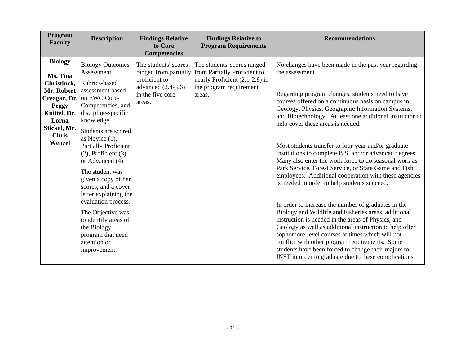| Program<br><b>Faculty</b>                                                                                                           | <b>Description</b>                                                                                                                                                                                                                                                                                                                                                                                                                                                                                                              | <b>Findings Relative</b><br>to Core<br><b>Competencies</b>                                                           | <b>Findings Relative to</b><br><b>Program Requirements</b>                                                                         | <b>Recommendations</b>                                                                                                                                                                                                                                                                                                                                                                                                                                                                                                                                                                                                                                                                                                                                                                                                                                                                                                                                                                                                                                                                                                                  |
|-------------------------------------------------------------------------------------------------------------------------------------|---------------------------------------------------------------------------------------------------------------------------------------------------------------------------------------------------------------------------------------------------------------------------------------------------------------------------------------------------------------------------------------------------------------------------------------------------------------------------------------------------------------------------------|----------------------------------------------------------------------------------------------------------------------|------------------------------------------------------------------------------------------------------------------------------------|-----------------------------------------------------------------------------------------------------------------------------------------------------------------------------------------------------------------------------------------------------------------------------------------------------------------------------------------------------------------------------------------------------------------------------------------------------------------------------------------------------------------------------------------------------------------------------------------------------------------------------------------------------------------------------------------------------------------------------------------------------------------------------------------------------------------------------------------------------------------------------------------------------------------------------------------------------------------------------------------------------------------------------------------------------------------------------------------------------------------------------------------|
| <b>Biology</b><br>Ms. Tina<br>Christinck,<br>Mr. Robert<br>Peggy<br>Knittel, Dr.<br>Lorna<br>Stickel, Mr.<br><b>Chris</b><br>Wenzel | <b>Biology Outcomes</b><br>Assessment<br>Rubrics-based<br>assessment based<br>Creagar, Dr. on EWC Core-<br>Competencies, and<br>discipline-specific<br>knowledge.<br>Students are scored<br>as Novice $(1)$ ,<br><b>Partially Proficient</b><br>$(2)$ , Proficient $(3)$ ,<br>or Advanced (4)<br>The student was<br>given a copy of her<br>scores, and a cover<br>letter explaining the<br>evaluation process.<br>The Objective was<br>to identify areas of<br>the Biology<br>program that need<br>attention or<br>improvement. | The students' scores<br>ranged from partially<br>proficient to<br>advanced $(2.4-3.6)$<br>in the five core<br>areas. | The students' scores ranged<br>from Partially Proficient to<br>nearly Proficient (2.1-2.8) in<br>the program requirement<br>areas. | No changes have been made in the past year regarding<br>the assessment.<br>Regarding program changes, students need to have<br>courses offered on a continuous basis on campus in<br>Geology, Physics, Geographic Information Systems,<br>and Biotechnology. At least one additional instructor to<br>help cover these areas is needed.<br>Most students transfer to four-year and/or graduate<br>institutions to complete B.S. and/or advanced degrees.<br>Many also enter the work force to do seasonal work as<br>Park Service, Forest Service, or State Game and Fish<br>employees. Additional cooperation with these agencies<br>is needed in order to help students succeed.<br>In order to increase the number of graduates in the<br>Biology and Wildlife and Fisheries areas, additional<br>instruction is needed in the areas of Physics, and<br>Geology as well as additional instruction to help offer<br>sophomore-level courses at times which will not<br>conflict with other program requirements. Some<br>students have been forced to change their majors to<br>INST in order to graduate due to these complications. |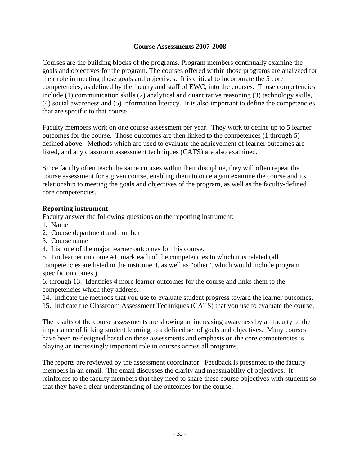## **Course Assessments 2007-2008**

Courses are the building blocks of the programs. Program members continually examine the goals and objectives for the program. The courses offered within those programs are analyzed for their role in meeting those goals and objectives. It is critical to incorporate the 5 core competencies, as defined by the faculty and staff of EWC, into the courses. Those competencies include (1) communication skills (2) analytical and quantitative reasoning (3) technology skills, (4) social awareness and (5) information literacy. It is also important to define the competencies that are specific to that course.

Faculty members work on one course assessment per year. They work to define up to 5 learner outcomes for the course. Those outcomes are then linked to the competences (1 through 5) defined above. Methods which are used to evaluate the achievement of learner outcomes are listed, and any classroom assessment techniques (CATS) are also examined.

Since faculty often teach the same courses within their discipline, they will often repeat the course assessment for a given course, enabling them to once again examine the course and its relationship to meeting the goals and objectives of the program, as well as the faculty-defined core competencies.

### **Reporting instrument**

Faculty answer the following questions on the reporting instrument:

- 1. Name
- 2. Course department and number
- 3. Course name
- 4. List one of the major learner outcomes for this course.

5. For learner outcome #1, mark each of the competencies to which it is related (all competencies are listed in the instrument, as well as "other", which would include program specific outcomes.)

6. through 13. Identifies 4 more learner outcomes for the course and links them to the competencies which they address.

- 14. Indicate the methods that you use to evaluate student progress toward the learner outcomes.
- 15. Indicate the Classroom Assessment Techniques (CATS) that you use to evaluate the course.

The results of the course assessments are showing an increasing awareness by all faculty of the importance of linking student learning to a defined set of goals and objectives. Many courses have been re-designed based on these assessments and emphasis on the core competencies is playing an increasingly important role in courses across all programs.

The reports are reviewed by the assessment coordinator. Feedback is presented to the faculty members in an email. The email discusses the clarity and measurability of objectives. It reinforces to the faculty members that they need to share these course objectives with students so that they have a clear understanding of the outcomes for the course.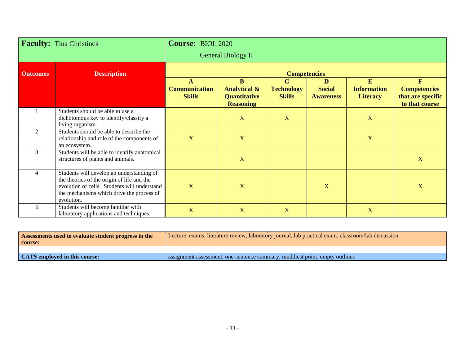|                 | <b>Faculty:</b> Tina Christinck                                                                                                                                                                    | <b>Course: BIOL 2020</b>                   |                                                                                |                                                   |                                        |                                            |                                                                            |
|-----------------|----------------------------------------------------------------------------------------------------------------------------------------------------------------------------------------------------|--------------------------------------------|--------------------------------------------------------------------------------|---------------------------------------------------|----------------------------------------|--------------------------------------------|----------------------------------------------------------------------------|
|                 |                                                                                                                                                                                                    |                                            | <b>General Biology II</b>                                                      |                                                   |                                        |                                            |                                                                            |
| <b>Outcomes</b> | <b>Description</b>                                                                                                                                                                                 |                                            |                                                                                | <b>Competencies</b>                               |                                        |                                            |                                                                            |
|                 |                                                                                                                                                                                                    | A<br><b>Communication</b><br><b>Skills</b> | <b>B</b><br><b>Analytical &amp;</b><br><b>Quantitative</b><br><b>Reasoning</b> | $\mathbf C$<br><b>Technology</b><br><b>Skills</b> | D<br><b>Social</b><br><b>Awareness</b> | E<br><b>Information</b><br><b>Literacy</b> | $\mathbf{F}$<br><b>Competencies</b><br>that are specific<br>to that course |
|                 | Students should be able to use a<br>dichotomous key to identify/classify a<br>living organism.                                                                                                     |                                            | $\mathbf X$                                                                    | X                                                 |                                        | X                                          |                                                                            |
| $\mathfrak{D}$  | Students should be able to describe the<br>relationship and role of the components of<br>an ecosystem.                                                                                             | $\mathbf X$                                | X                                                                              |                                                   |                                        | $\mathbf X$                                |                                                                            |
| 3               | Students will be able to identify anatomical<br>structures of plants and animals.                                                                                                                  |                                            | $\mathbf X$                                                                    |                                                   |                                        |                                            | $\mathbf X$                                                                |
| 4               | Students will develop an understanding of<br>the theories of the origin of life and the<br>evolution of cells. Students will understand<br>the mechanisms which drive the process of<br>evolution. | X                                          | $\mathbf X$                                                                    |                                                   | X                                      |                                            | $\mathbf X$                                                                |
| 5               | Students will become familiar with<br>laboratory applications and techniques.                                                                                                                      | $\mathbf X$                                | $\mathbf X$                                                                    | X                                                 |                                        | $\mathbf X$                                |                                                                            |

| Assessments used to evaluate student progress in the | Lecture, exams, literature review, laboratory journal, lab practical exam, classroom/lab discussion |
|------------------------------------------------------|-----------------------------------------------------------------------------------------------------|
| course:                                              |                                                                                                     |
|                                                      |                                                                                                     |
| CATS employed in this course:                        | assignment assessment, one-sentence summary, muddiest point, empty outlines                         |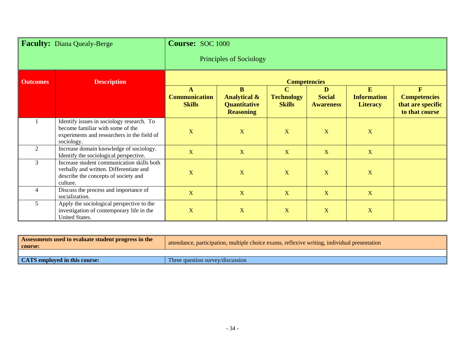| Faculty: Diana Quealy-Berge           |                                                                                                                                            | <b>Course: SOC 1000</b>                    |                                                                                               |                                                   |                                        |                                            |                                                                            |  |
|---------------------------------------|--------------------------------------------------------------------------------------------------------------------------------------------|--------------------------------------------|-----------------------------------------------------------------------------------------------|---------------------------------------------------|----------------------------------------|--------------------------------------------|----------------------------------------------------------------------------|--|
|                                       |                                                                                                                                            |                                            | Principles of Sociology                                                                       |                                                   |                                        |                                            |                                                                            |  |
| <b>Description</b><br><b>Outcomes</b> |                                                                                                                                            |                                            |                                                                                               |                                                   | <b>Competencies</b>                    |                                            |                                                                            |  |
|                                       |                                                                                                                                            | A<br><b>Communication</b><br><b>Skills</b> | $\overline{\mathbf{B}}$<br><b>Analytical &amp;</b><br><b>Quantitative</b><br><b>Reasoning</b> | $\mathbf C$<br><b>Technology</b><br><b>Skills</b> | D<br><b>Social</b><br><b>Awareness</b> | E<br><b>Information</b><br><b>Literacy</b> | $\mathbf{F}$<br><b>Competencies</b><br>that are specific<br>to that course |  |
|                                       | Identify issues in sociology research. To<br>become familiar with some of the<br>experiments and researchers in the field of<br>sociology. | $\mathbf X$                                | $\mathbf X$                                                                                   | X                                                 | X                                      | X                                          |                                                                            |  |
| $\overline{2}$                        | Increase domain knowledge of sociology.<br>Identify the sociological perspective.                                                          | X                                          | X                                                                                             | X                                                 | X                                      | X                                          |                                                                            |  |
| 3                                     | Increase student communication skills both<br>verbally and written. Differentiate and<br>describe the concepts of society and<br>culture.  | $\overline{\mathbf{X}}$                    | $\mathbf X$                                                                                   | X                                                 | X                                      | $\mathbf X$                                |                                                                            |  |
| $\overline{4}$                        | Discuss the process and importance of<br>socialization.                                                                                    | $\mathbf X$                                | $\mathbf{X}$                                                                                  | $\mathbf X$                                       | $\mathbf X$                            | $\mathbf X$                                |                                                                            |  |
| 5                                     | Apply the sociological perspective to the<br>investigation of contemporary life in the<br>United States.                                   | $\mathbf X$                                | $\mathbf X$                                                                                   | X                                                 | X                                      | $\mathbf X$                                |                                                                            |  |

| Assessments used to evaluate student progress in the<br>course: | attendance, participation, multiple choice exams, reflexive writing, individual presentation |
|-----------------------------------------------------------------|----------------------------------------------------------------------------------------------|
|                                                                 |                                                                                              |
| CATS employed in this course:                                   | Three question survey/discussion                                                             |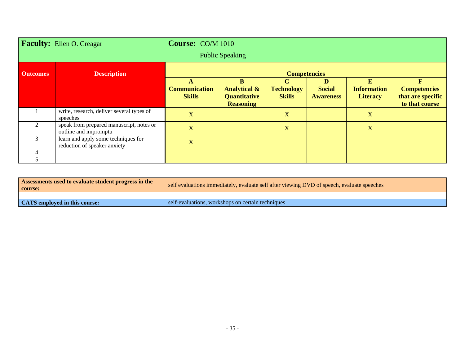|                 | <b>Faculty:</b> Ellen O. Creagar                                    | <b>Course:</b> CO/M 1010                   |                                                                                    |                                                   |                                        |                                            |                                                                 |
|-----------------|---------------------------------------------------------------------|--------------------------------------------|------------------------------------------------------------------------------------|---------------------------------------------------|----------------------------------------|--------------------------------------------|-----------------------------------------------------------------|
|                 |                                                                     |                                            | <b>Public Speaking</b>                                                             |                                                   |                                        |                                            |                                                                 |
| <b>Outcomes</b> | <b>Description</b>                                                  | <b>Competencies</b>                        |                                                                                    |                                                   |                                        |                                            |                                                                 |
|                 |                                                                     | A<br><b>Communication</b><br><b>Skills</b> | <sub>B</sub><br><b>Analytical &amp;</b><br><b>Quantitative</b><br><b>Reasoning</b> | $\mathbf C$<br><b>Technology</b><br><b>Skills</b> | D<br><b>Social</b><br><b>Awareness</b> | E<br><b>Information</b><br><b>Literacy</b> | F<br><b>Competencies</b><br>that are specific<br>to that course |
|                 | write, research, deliver several types of<br>speeches               | X                                          |                                                                                    | $\mathbf X$                                       |                                        | $\mathbf X$                                |                                                                 |
| $\bigcap$       | speak from prepared manuscript, notes or<br>outline and impromptu   | $\mathbf X$                                |                                                                                    | X                                                 |                                        | $\mathbf X$                                |                                                                 |
|                 | learn and apply some techniques for<br>reduction of speaker anxiety | X                                          |                                                                                    |                                                   |                                        |                                            |                                                                 |
|                 |                                                                     |                                            |                                                                                    |                                                   |                                        |                                            |                                                                 |
|                 |                                                                     |                                            |                                                                                    |                                                   |                                        |                                            |                                                                 |

| Assessments used to evaluate student progress in the<br>  course: | self evaluations immediately, evaluate self after viewing DVD of speech, evaluate speeches |
|-------------------------------------------------------------------|--------------------------------------------------------------------------------------------|
|                                                                   |                                                                                            |
| <b>CATS</b> employed in this course:                              | self-evaluations, workshops on certain techniques                                          |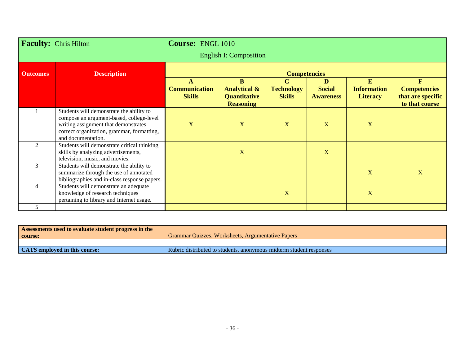| <b>Faculty:</b> Chris Hilton |                                                                                                                                                                                                  | <b>Course: ENGL 1010</b>                   |                                                                                |                                                   |                                        |                                            |                                                                            |
|------------------------------|--------------------------------------------------------------------------------------------------------------------------------------------------------------------------------------------------|--------------------------------------------|--------------------------------------------------------------------------------|---------------------------------------------------|----------------------------------------|--------------------------------------------|----------------------------------------------------------------------------|
|                              |                                                                                                                                                                                                  |                                            | <b>English I: Composition</b>                                                  |                                                   |                                        |                                            |                                                                            |
| <b>Outcomes</b>              | <b>Description</b>                                                                                                                                                                               | <b>Competencies</b>                        |                                                                                |                                                   |                                        |                                            |                                                                            |
|                              |                                                                                                                                                                                                  | A<br><b>Communication</b><br><b>Skills</b> | $\bf{B}$<br><b>Analytical &amp;</b><br><b>Quantitative</b><br><b>Reasoning</b> | $\mathbf C$<br><b>Technology</b><br><b>Skills</b> | D<br><b>Social</b><br><b>Awareness</b> | E<br><b>Information</b><br><b>Literacy</b> | $\mathbf{F}$<br><b>Competencies</b><br>that are specific<br>to that course |
|                              | Students will demonstrate the ability to<br>compose an argument-based, college-level<br>writing assignment that demonstrates<br>correct organization, grammar, formatting,<br>and documentation. | $\mathbf X$                                | X                                                                              | X                                                 | X                                      | X                                          |                                                                            |
| $\mathfrak{D}$               | Students will demonstrate critical thinking<br>skills by analyzing advertisements,<br>television, music, and movies.                                                                             |                                            | $\mathbf{X}$                                                                   |                                                   | X                                      |                                            |                                                                            |
| 3                            | Students will demonstrate the ability to<br>summarize through the use of annotated<br>bibliographies and in-class response papers.                                                               |                                            |                                                                                |                                                   |                                        | X                                          | X                                                                          |
| $\overline{4}$               | Students will demonstrate an adequate<br>knowledge of research techniques<br>pertaining to library and Internet usage.                                                                           |                                            |                                                                                | X                                                 |                                        | $\mathbf X$                                |                                                                            |
| 5                            |                                                                                                                                                                                                  |                                            |                                                                                |                                                   |                                        |                                            |                                                                            |

| <b>Assessments used to evaluate student progress in the</b> | Grammar Quizzes, Worksheets, Argumentative Papers                   |
|-------------------------------------------------------------|---------------------------------------------------------------------|
| course:                                                     |                                                                     |
|                                                             |                                                                     |
| CATS employed in this course:                               | Rubric distributed to students, anonymous midterm student responses |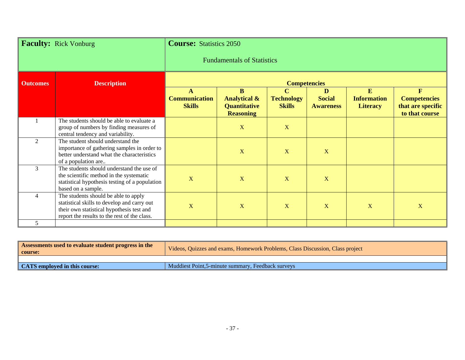| <b>Faculty: Rick Vonburg</b> |                                                                                                                                                                                  | <b>Course:</b> Statistics 2050        |                                                                         |                                                   |                                        |                                            |                                                                            |
|------------------------------|----------------------------------------------------------------------------------------------------------------------------------------------------------------------------------|---------------------------------------|-------------------------------------------------------------------------|---------------------------------------------------|----------------------------------------|--------------------------------------------|----------------------------------------------------------------------------|
|                              |                                                                                                                                                                                  | <b>Fundamentals of Statistics</b>     |                                                                         |                                                   |                                        |                                            |                                                                            |
| <b>Outcomes</b>              | <b>Description</b>                                                                                                                                                               | <b>Competencies</b>                   |                                                                         |                                                   |                                        |                                            |                                                                            |
|                              |                                                                                                                                                                                  | <b>Communication</b><br><b>Skills</b> | B<br><b>Analytical &amp;</b><br><b>Quantitative</b><br><b>Reasoning</b> | $\mathbf C$<br><b>Technology</b><br><b>Skills</b> | D<br><b>Social</b><br><b>Awareness</b> | E<br><b>Information</b><br><b>Literacy</b> | $\mathbf{F}$<br><b>Competencies</b><br>that are specific<br>to that course |
|                              | The students should be able to evaluate a<br>group of numbers by finding measures of<br>central tendency and variability.                                                        |                                       | X                                                                       | X                                                 |                                        |                                            |                                                                            |
| $\overline{2}$               | The student should understand the<br>importance of gathering samples in order to<br>better understand what the characteristics<br>of a population are                            |                                       | $\mathbf{X}$                                                            | X                                                 | X                                      |                                            |                                                                            |
| 3                            | The students should understand the use of<br>the scientific method in the systematic<br>statistical hypothesis testing of a population<br>based on a sample.                     | $\mathbf X$                           | $\mathbf X$                                                             | X                                                 | X                                      |                                            |                                                                            |
| $\overline{4}$               | The students should be able to apply<br>statistical skills to develop and carry out<br>their own statistical hypothesis test and<br>report the results to the rest of the class. | $\mathbf X$                           | $\overline{\mathbf{X}}$                                                 | X                                                 | X                                      | X                                          | $\mathbf X$                                                                |
| 5                            |                                                                                                                                                                                  |                                       |                                                                         |                                                   |                                        |                                            |                                                                            |

| Assessments used to evaluate student progress in the<br>  course: | Videos, Quizzes and exams, Homework Problems, Class Discussion, Class project |
|-------------------------------------------------------------------|-------------------------------------------------------------------------------|
|                                                                   |                                                                               |
| CATS employed in this course:                                     | Muddiest Point, 5-minute summary, Feedback surveys                            |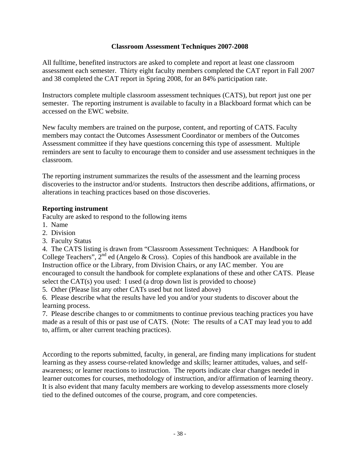#### **Classroom Assessment Techniques 2007-2008**

All fulltime, benefited instructors are asked to complete and report at least one classroom assessment each semester. Thirty eight faculty members completed the CAT report in Fall 2007 and 38 completed the CAT report in Spring 2008, for an 84% participation rate.

Instructors complete multiple classroom assessment techniques (CATS), but report just one per semester. The reporting instrument is available to faculty in a Blackboard format which can be accessed on the EWC website.

New faculty members are trained on the purpose, content, and reporting of CATS. Faculty members may contact the Outcomes Assessment Coordinator or members of the Outcomes Assessment committee if they have questions concerning this type of assessment. Multiple reminders are sent to faculty to encourage them to consider and use assessment techniques in the classroom.

The reporting instrument summarizes the results of the assessment and the learning process discoveries to the instructor and/or students. Instructors then describe additions, affirmations, or alterations in teaching practices based on those discoveries.

### **Reporting instrument**

Faculty are asked to respond to the following items

- 1. Name
- 2. Division
- 3. Faculty Status

4. The CATS listing is drawn from "Classroom Assessment Techniques: A Handbook for College Teachers",  $2^{nd}$  ed (Angelo & Cross). Copies of this handbook are available in the Instruction office or the Library, from Division Chairs, or any IAC member. You are encouraged to consult the handbook for complete explanations of these and other CATS. Please select the CAT(s) you used: I used (a drop down list is provided to choose)

5. Other (Please list any other CATs used but not listed above)

6. Please describe what the results have led you and/or your students to discover about the learning process.

7. Please describe changes to or commitments to continue previous teaching practices you have made as a result of this or past use of CATS. (Note: The results of a CAT may lead you to add to, affirm, or alter current teaching practices).

According to the reports submitted, faculty, in general, are finding many implications for student learning as they assess course-related knowledge and skills; learner attitudes, values, and selfawareness; or learner reactions to instruction. The reports indicate clear changes needed in learner outcomes for courses, methodology of instruction, and/or affirmation of learning theory. It is also evident that many faculty members are working to develop assessments more closely tied to the defined outcomes of the course, program, and core competencies.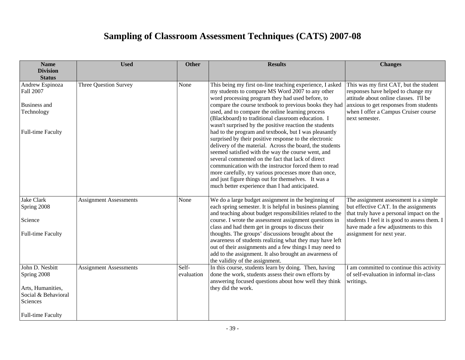# **Sampling of Classroom Assessment Techniques (CATS) 2007-08**

| <b>Name</b>                                                                            | <b>Used</b>                   | <b>Other</b>        | <b>Results</b>                                                                                                                                                                                                                                                                                                                                                                                                                                                                                                    | <b>Changes</b>                                                                                                                                                                                                    |
|----------------------------------------------------------------------------------------|-------------------------------|---------------------|-------------------------------------------------------------------------------------------------------------------------------------------------------------------------------------------------------------------------------------------------------------------------------------------------------------------------------------------------------------------------------------------------------------------------------------------------------------------------------------------------------------------|-------------------------------------------------------------------------------------------------------------------------------------------------------------------------------------------------------------------|
| <b>Division</b><br><b>Status</b>                                                       |                               |                     |                                                                                                                                                                                                                                                                                                                                                                                                                                                                                                                   |                                                                                                                                                                                                                   |
| Andrew Espinoza<br>Fall 2007                                                           | Three Question Survey         | None                | This being my first on-line teaching experience, I asked<br>my students to compare MS Word 2007 to any other<br>word processing program they had used before, to                                                                                                                                                                                                                                                                                                                                                  | This was my first CAT, but the student<br>responses have helped to change my<br>attitude about online classes. I'll be                                                                                            |
| Business and<br>Technology                                                             |                               |                     | compare the course textbook to previous books they had<br>used, and to compare the online learning process<br>(Blackboard) to traditional classroom education. I<br>wasn't surprised by the positive reaction the students                                                                                                                                                                                                                                                                                        | anxious to get responses from students<br>when I offer a Campus Cruiser course<br>next semester.                                                                                                                  |
| Full-time Faculty                                                                      |                               |                     | had to the program and textbook, but I was pleasantly<br>surprised by their positive response to the electronic<br>delivery of the material. Across the board, the students<br>seemed satisfied with the way the course went, and<br>several commented on the fact that lack of direct<br>communication with the instructor forced them to read<br>more carefully, try various processes more than once,<br>and just figure things out for themselves. It was a<br>much better experience than I had anticipated. |                                                                                                                                                                                                                   |
| <b>Jake Clark</b><br>Spring 2008<br>Science                                            | <b>Assignment Assessments</b> | None                | We do a large budget assignment in the beginning of<br>each spring semester. It is helpful in business planning<br>and teaching about budget responsibilities related to the<br>course. I wrote the assessment assignment questions in<br>class and had them get in groups to discuss their                                                                                                                                                                                                                       | The assignment assessment is a simple<br>but effective CAT. In the assignments<br>that truly have a personal impact on the<br>students I feel it is good to assess them. I<br>have made a few adjustments to this |
| Full-time Faculty                                                                      |                               |                     | thoughts. The groups' discussions brought about the<br>awareness of students realizing what they may have left<br>out of their assignments and a few things I may need to<br>add to the assignment. It also brought an awareness of<br>the validity of the assignment.                                                                                                                                                                                                                                            | assignment for next year.                                                                                                                                                                                         |
| John D. Nesbitt<br>Spring 2008<br>Arts, Humanities,<br>Social & Behavioral<br>Sciences | <b>Assignment Assessments</b> | Self-<br>evaluation | In this course, students learn by doing. Then, having<br>done the work, students assess their own efforts by<br>answering focused questions about how well they think<br>they did the work.                                                                                                                                                                                                                                                                                                                       | I am committed to continue this activity<br>of self-evaluation in informal in-class<br>writings.                                                                                                                  |
| <b>Full-time Faculty</b>                                                               |                               |                     |                                                                                                                                                                                                                                                                                                                                                                                                                                                                                                                   |                                                                                                                                                                                                                   |